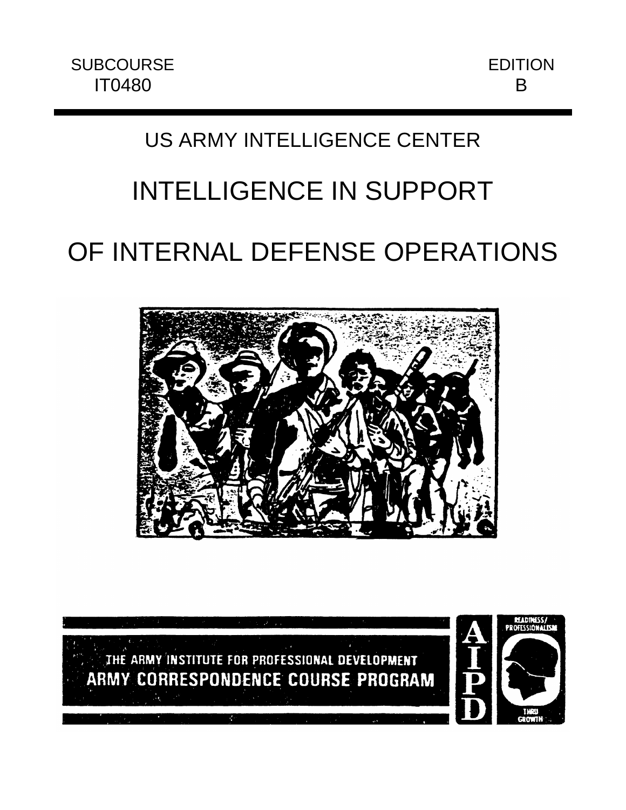## US ARMY INTELLIGENCE CENTER

# INTELLIGENCE IN SUPPORT

## OF INTERNAL DEFENSE OPERATIONS



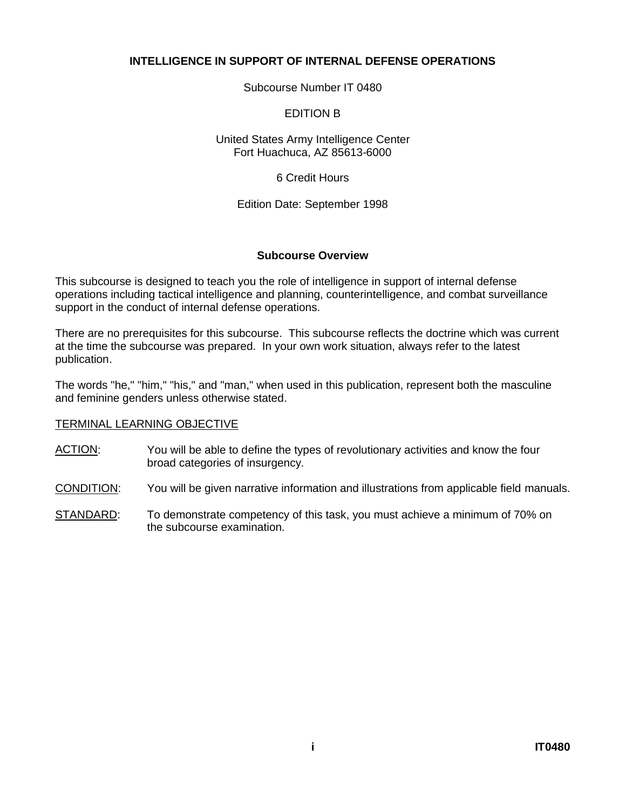#### **INTELLIGENCE IN SUPPORT OF INTERNAL DEFENSE OPERATIONS**

Subcourse Number IT 0480

#### EDITION B

United States Army Intelligence Center Fort Huachuca, AZ 85613-6000

6 Credit Hours

Edition Date: September 1998

#### **Subcourse Overview**

This subcourse is designed to teach you the role of intelligence in support of internal defense operations including tactical intelligence and planning, counterintelligence, and combat surveillance support in the conduct of internal defense operations.

There are no prerequisites for this subcourse. This subcourse reflects the doctrine which was current at the time the subcourse was prepared. In your own work situation, always refer to the latest publication.

The words "he," "him," "his," and "man," when used in this publication, represent both the masculine and feminine genders unless otherwise stated.

#### TERMINAL LEARNING OBJECTIVE

- ACTION: You will be able to define the types of revolutionary activities and know the four broad categories of insurgency.
- CONDITION: You will be given narrative information and illustrations from applicable field manuals.
- STANDARD: To demonstrate competency of this task, you must achieve a minimum of 70% on the subcourse examination.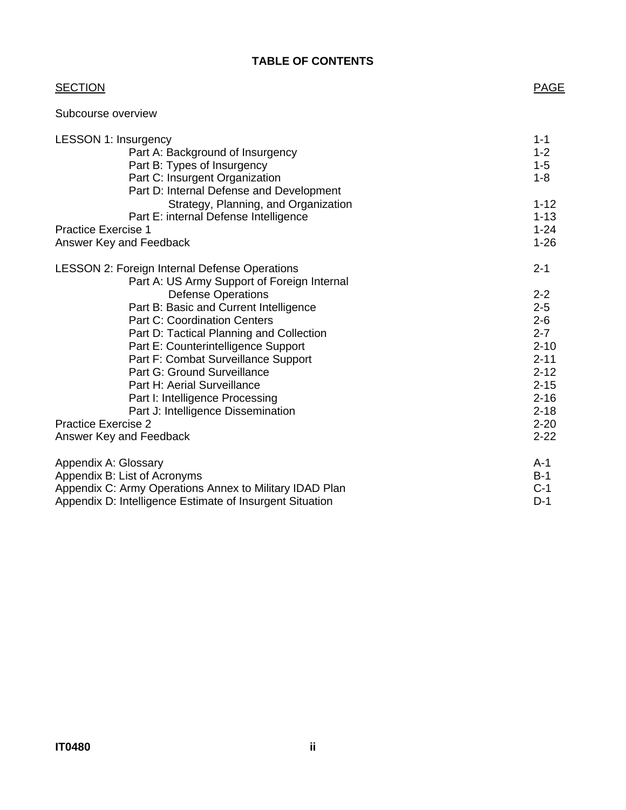## **TABLE OF CONTENTS**

| <b>SECTION</b>                                          | <b>PAGE</b> |
|---------------------------------------------------------|-------------|
| Subcourse overview                                      |             |
| <b>LESSON 1: Insurgency</b>                             | $1 - 1$     |
| Part A: Background of Insurgency                        | $1 - 2$     |
| Part B: Types of Insurgency                             | $1 - 5$     |
| Part C: Insurgent Organization                          | $1 - 8$     |
| Part D: Internal Defense and Development                |             |
| Strategy, Planning, and Organization                    | $1 - 12$    |
| Part E: internal Defense Intelligence                   | $1 - 13$    |
| <b>Practice Exercise 1</b>                              | $1 - 24$    |
| Answer Key and Feedback                                 | $1 - 26$    |
| <b>LESSON 2: Foreign Internal Defense Operations</b>    | $2 - 1$     |
| Part A: US Army Support of Foreign Internal             |             |
| <b>Defense Operations</b>                               | $2 - 2$     |
| Part B: Basic and Current Intelligence                  | $2 - 5$     |
| <b>Part C: Coordination Centers</b>                     | $2 - 6$     |
| Part D: Tactical Planning and Collection                | $2 - 7$     |
| Part E: Counterintelligence Support                     | $2 - 10$    |
| Part F: Combat Surveillance Support                     | $2 - 11$    |
| Part G: Ground Surveillance                             | $2 - 12$    |
| Part H: Aerial Surveillance                             | $2 - 15$    |
| Part I: Intelligence Processing                         | $2 - 16$    |
| Part J: Intelligence Dissemination                      | $2 - 18$    |
| <b>Practice Exercise 2</b>                              | $2 - 20$    |
| Answer Key and Feedback                                 | $2 - 22$    |
| Appendix A: Glossary                                    | $A-1$       |
| Appendix B: List of Acronyms                            | $B-1$       |
| Appendix C: Army Operations Annex to Military IDAD Plan | $C-1$       |

Appendix D: Intelligence Estimate of Insurgent Situation **D-1**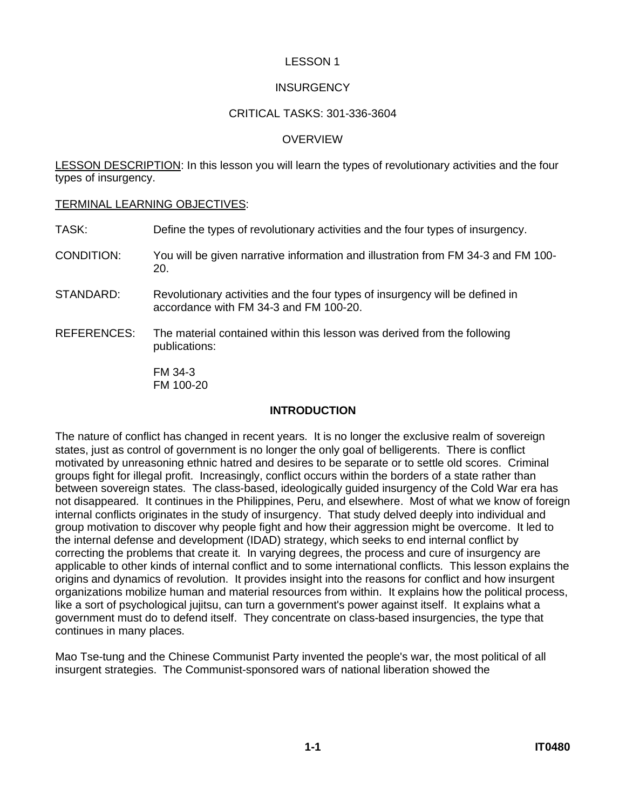#### **INSURGENCY**

#### CRITICAL TASKS: 301-336-3604

#### **OVERVIEW**

LESSON DESCRIPTION: In this lesson you will learn the types of revolutionary activities and the four types of insurgency.

#### TERMINAL LEARNING OBJECTIVES:

- TASK: Define the types of revolutionary activities and the four types of insurgency.
- CONDITION: You will be given narrative information and illustration from FM 34-3 and FM 100- 20.
- STANDARD: Revolutionary activities and the four types of insurgency will be defined in accordance with FM 34-3 and FM 100-20.
- REFERENCES: The material contained within this lesson was derived from the following publications:

FM 34-3 FM 100-20

#### **INTRODUCTION**

The nature of conflict has changed in recent years. It is no longer the exclusive realm of sovereign states, just as control of government is no longer the only goal of belligerents. There is conflict motivated by unreasoning ethnic hatred and desires to be separate or to settle old scores. Criminal groups fight for illegal profit. Increasingly, conflict occurs within the borders of a state rather than between sovereign states. The class-based, ideologically guided insurgency of the Cold War era has not disappeared. It continues in the Philippines, Peru, and elsewhere. Most of what we know of foreign internal conflicts originates in the study of insurgency. That study delved deeply into individual and group motivation to discover why people fight and how their aggression might be overcome. It led to the internal defense and development (IDAD) strategy, which seeks to end internal conflict by correcting the problems that create it. In varying degrees, the process and cure of insurgency are applicable to other kinds of internal conflict and to some international conflicts. This lesson explains the origins and dynamics of revolution. It provides insight into the reasons for conflict and how insurgent organizations mobilize human and material resources from within. It explains how the political process, like a sort of psychological jujitsu, can turn a government's power against itself. It explains what a government must do to defend itself. They concentrate on class-based insurgencies, the type that continues in many places.

Mao Tse-tung and the Chinese Communist Party invented the people's war, the most political of all insurgent strategies. The Communist-sponsored wars of national liberation showed the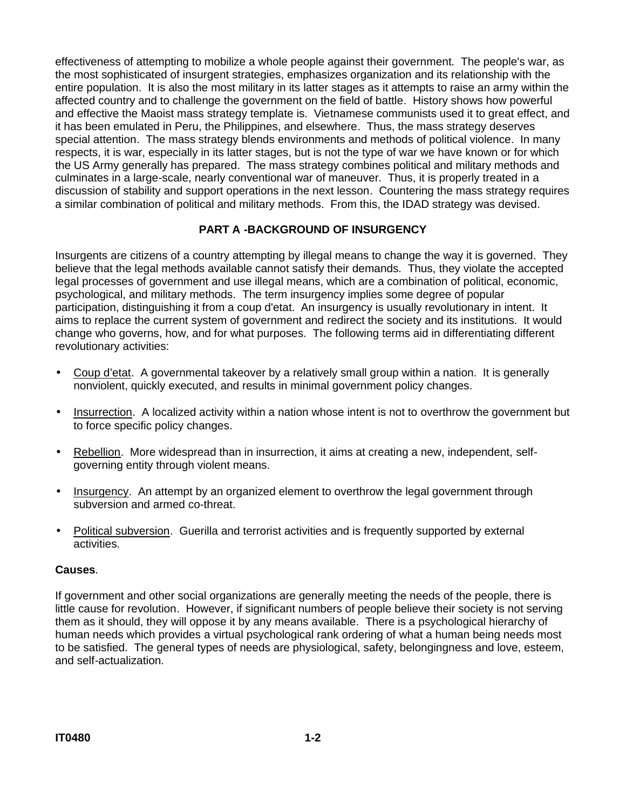effectiveness of attempting to mobilize a whole people against their government. The people's war, as the most sophisticated of insurgent strategies, emphasizes organization and its relationship with the entire population. It is also the most military in its latter stages as it attempts to raise an army within the affected country and to challenge the government on the field of battle. History shows how powerful and effective the Maoist mass strategy template is. Vietnamese communists used it to great effect, and it has been emulated in Peru, the Philippines, and elsewhere. Thus, the mass strategy deserves special attention. The mass strategy blends environments and methods of political violence. In many respects, it is war, especially in its latter stages, but is not the type of war we have known or for which the US Army generally has prepared. The mass strategy combines political and military methods and culminates in a large-scale, nearly conventional war of maneuver. Thus, it is properly treated in a discussion of stability and support operations in the next lesson. Countering the mass strategy requires a similar combination of political and military methods. From this, the IDAD strategy was devised.

## **PART A -BACKGROUND OF INSURGENCY**

Insurgents are citizens of a country attempting by illegal means to change the way it is governed. They believe that the legal methods available cannot satisfy their demands. Thus, they violate the accepted legal processes of government and use illegal means, which are a combination of political, economic, psychological, and military methods. The term insurgency implies some degree of popular participation, distinguishing it from a coup d'etat. An insurgency is usually revolutionary in intent. It aims to replace the current system of government and redirect the society and its institutions. It would change who governs, how, and for what purposes. The following terms aid in differentiating different revolutionary activities:

- Coup d'etat. A governmental takeover by a relatively small group within a nation. It is generally nonviolent, quickly executed, and results in minimal government policy changes.
- Insurrection. A localized activity within a nation whose intent is not to overthrow the government but to force specific policy changes.
- Rebellion. More widespread than in insurrection, it aims at creating a new, independent, selfgoverning entity through violent means.
- Insurgency. An attempt by an organized element to overthrow the legal government through subversion and armed co-threat.
- Political subversion. Guerilla and terrorist activities and is frequently supported by external activities.

#### **Causes**.

If government and other social organizations are generally meeting the needs of the people, there is little cause for revolution. However, if significant numbers of people believe their society is not serving them as it should, they will oppose it by any means available. There is a psychological hierarchy of human needs which provides a virtual psychological rank ordering of what a human being needs most to be satisfied. The general types of needs are physiological, safety, belongingness and love, esteem, and self-actualization.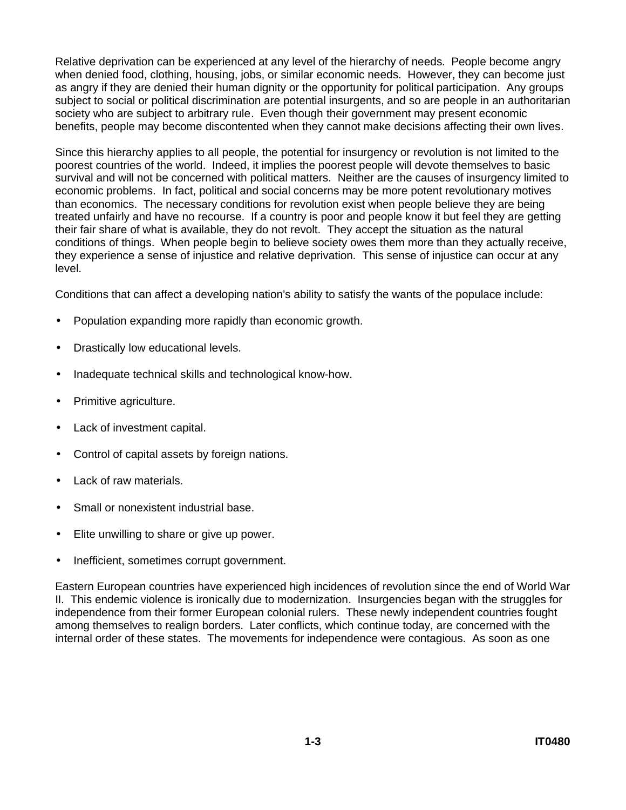Relative deprivation can be experienced at any level of the hierarchy of needs. People become angry when denied food, clothing, housing, jobs, or similar economic needs. However, they can become just as angry if they are denied their human dignity or the opportunity for political participation. Any groups subject to social or political discrimination are potential insurgents, and so are people in an authoritarian society who are subject to arbitrary rule. Even though their government may present economic benefits, people may become discontented when they cannot make decisions affecting their own lives.

Since this hierarchy applies to all people, the potential for insurgency or revolution is not limited to the poorest countries of the world. Indeed, it implies the poorest people will devote themselves to basic survival and will not be concerned with political matters. Neither are the causes of insurgency limited to economic problems. In fact, political and social concerns may be more potent revolutionary motives than economics. The necessary conditions for revolution exist when people believe they are being treated unfairly and have no recourse. If a country is poor and people know it but feel they are getting their fair share of what is available, they do not revolt. They accept the situation as the natural conditions of things. When people begin to believe society owes them more than they actually receive, they experience a sense of injustice and relative deprivation. This sense of injustice can occur at any level.

Conditions that can affect a developing nation's ability to satisfy the wants of the populace include:

- Population expanding more rapidly than economic growth.
- Drastically low educational levels.
- Inadequate technical skills and technological know-how.
- Primitive agriculture.
- Lack of investment capital.
- Control of capital assets by foreign nations.
- Lack of raw materials.
- Small or nonexistent industrial base.
- Elite unwilling to share or give up power.
- Inefficient, sometimes corrupt government.

Eastern European countries have experienced high incidences of revolution since the end of World War II. This endemic violence is ironically due to modernization. Insurgencies began with the struggles for independence from their former European colonial rulers. These newly independent countries fought among themselves to realign borders. Later conflicts, which continue today, are concerned with the internal order of these states. The movements for independence were contagious. As soon as one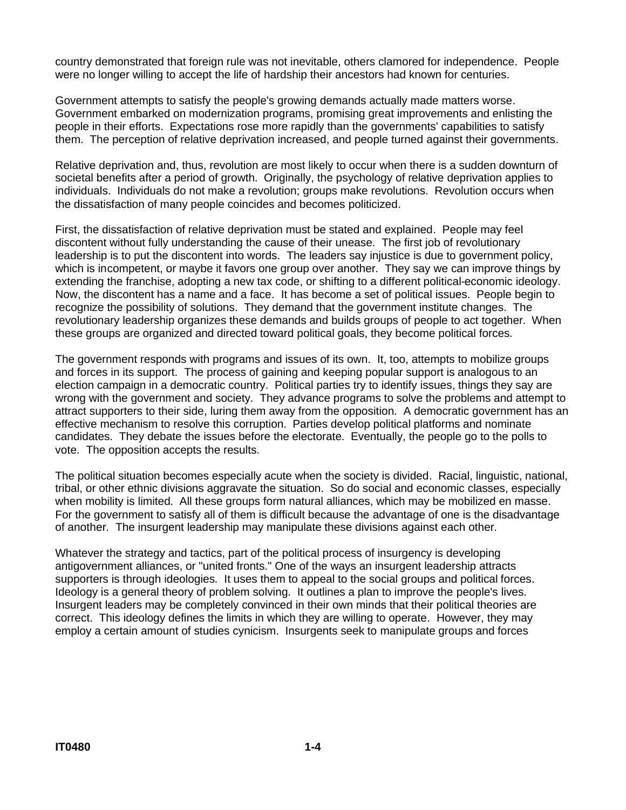country demonstrated that foreign rule was not inevitable, others clamored for independence. People were no longer willing to accept the life of hardship their ancestors had known for centuries.

Government attempts to satisfy the people's growing demands actually made matters worse. Government embarked on modernization programs, promising great improvements and enlisting the people in their efforts. Expectations rose more rapidly than the governments' capabilities to satisfy them. The perception of relative deprivation increased, and people turned against their governments.

Relative deprivation and, thus, revolution are most likely to occur when there is a sudden downturn of societal benefits after a period of growth. Originally, the psychology of relative deprivation applies to individuals. Individuals do not make a revolution; groups make revolutions. Revolution occurs when the dissatisfaction of many people coincides and becomes politicized.

First, the dissatisfaction of relative deprivation must be stated and explained. People may feel discontent without fully understanding the cause of their unease. The first job of revolutionary leadership is to put the discontent into words. The leaders say injustice is due to government policy, which is incompetent, or maybe it favors one group over another. They say we can improve things by extending the franchise, adopting a new tax code, or shifting to a different political-economic ideology. Now, the discontent has a name and a face. It has become a set of political issues. People begin to recognize the possibility of solutions. They demand that the government institute changes. The revolutionary leadership organizes these demands and builds groups of people to act together. When these groups are organized and directed toward political goals, they become political forces.

The government responds with programs and issues of its own. It, too, attempts to mobilize groups and forces in its support. The process of gaining and keeping popular support is analogous to an election campaign in a democratic country. Political parties try to identify issues, things they say are wrong with the government and society. They advance programs to solve the problems and attempt to attract supporters to their side, luring them away from the opposition. A democratic government has an effective mechanism to resolve this corruption. Parties develop political platforms and nominate candidates. They debate the issues before the electorate. Eventually, the people go to the polls to vote. The opposition accepts the results.

The political situation becomes especially acute when the society is divided. Racial, linguistic, national, tribal, or other ethnic divisions aggravate the situation. So do social and economic classes, especially when mobility is limited. All these groups form natural alliances, which may be mobilized en masse. For the government to satisfy all of them is difficult because the advantage of one is the disadvantage of another. The insurgent leadership may manipulate these divisions against each other.

Whatever the strategy and tactics, part of the political process of insurgency is developing antigovernment alliances, or "united fronts." One of the ways an insurgent leadership attracts supporters is through ideologies. It uses them to appeal to the social groups and political forces. Ideology is a general theory of problem solving. It outlines a plan to improve the people's lives. Insurgent leaders may be completely convinced in their own minds that their political theories are correct. This ideology defines the limits in which they are willing to operate. However, they may employ a certain amount of studies cynicism. Insurgents seek to manipulate groups and forces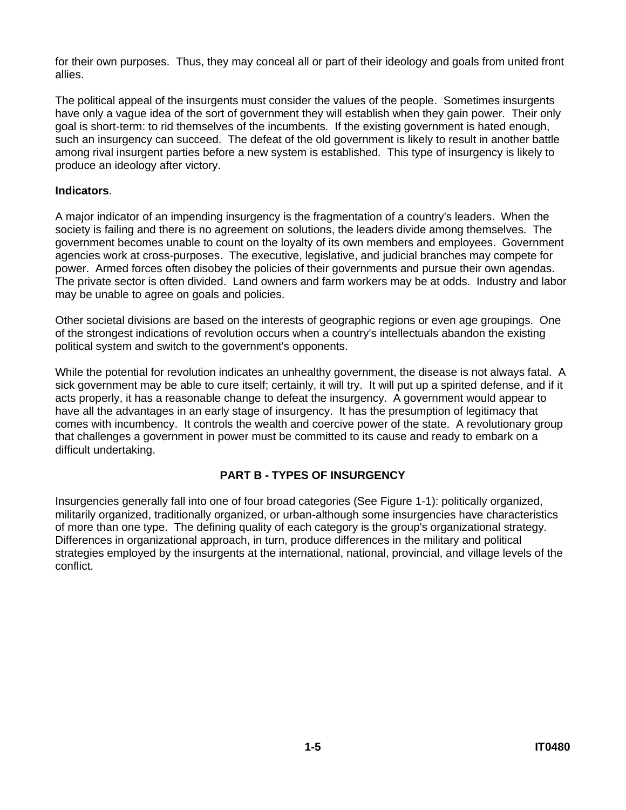for their own purposes. Thus, they may conceal all or part of their ideology and goals from united front allies.

The political appeal of the insurgents must consider the values of the people. Sometimes insurgents have only a vague idea of the sort of government they will establish when they gain power. Their only goal is short-term: to rid themselves of the incumbents. If the existing government is hated enough, such an insurgency can succeed. The defeat of the old government is likely to result in another battle among rival insurgent parties before a new system is established. This type of insurgency is likely to produce an ideology after victory.

#### **Indicators**.

A major indicator of an impending insurgency is the fragmentation of a country's leaders. When the society is failing and there is no agreement on solutions, the leaders divide among themselves. The government becomes unable to count on the loyalty of its own members and employees. Government agencies work at cross-purposes. The executive, legislative, and judicial branches may compete for power. Armed forces often disobey the policies of their governments and pursue their own agendas. The private sector is often divided. Land owners and farm workers may be at odds. Industry and labor may be unable to agree on goals and policies.

Other societal divisions are based on the interests of geographic regions or even age groupings. One of the strongest indications of revolution occurs when a country's intellectuals abandon the existing political system and switch to the government's opponents.

While the potential for revolution indicates an unhealthy government, the disease is not always fatal. A sick government may be able to cure itself; certainly, it will try. It will put up a spirited defense, and if it acts properly, it has a reasonable change to defeat the insurgency. A government would appear to have all the advantages in an early stage of insurgency. It has the presumption of legitimacy that comes with incumbency. It controls the wealth and coercive power of the state. A revolutionary group that challenges a government in power must be committed to its cause and ready to embark on a difficult undertaking.

#### **PART B - TYPES OF INSURGENCY**

Insurgencies generally fall into one of four broad categories (See Figure 1-1): politically organized, militarily organized, traditionally organized, or urban-although some insurgencies have characteristics of more than one type. The defining quality of each category is the group's organizational strategy. Differences in organizational approach, in turn, produce differences in the military and political strategies employed by the insurgents at the international, national, provincial, and village levels of the conflict.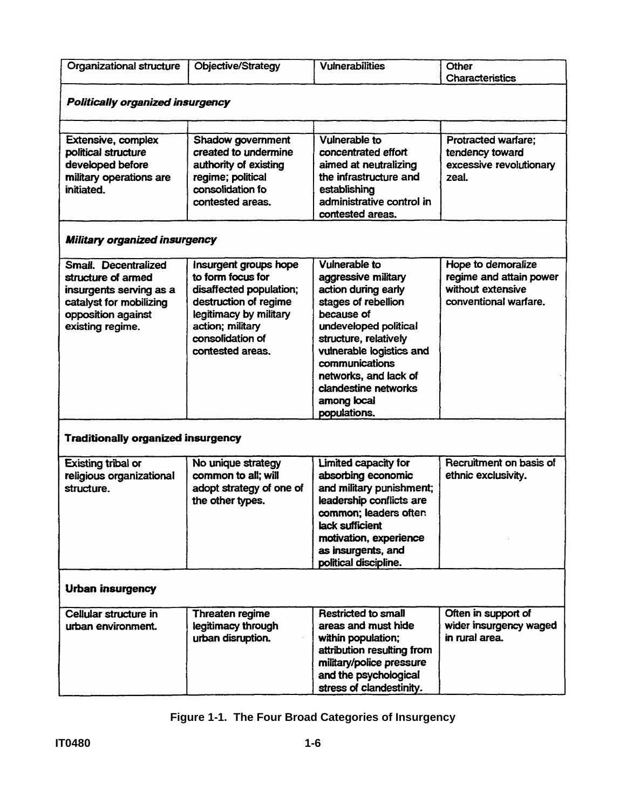| Organizational structure                                                                                                                   | Objective/Strategy                                                                                                                                                                   | <b>Vulnerabilities</b>                                                                                                                                                                                                                                                           | Other<br>Characteristics                                                                    |  |  |
|--------------------------------------------------------------------------------------------------------------------------------------------|--------------------------------------------------------------------------------------------------------------------------------------------------------------------------------------|----------------------------------------------------------------------------------------------------------------------------------------------------------------------------------------------------------------------------------------------------------------------------------|---------------------------------------------------------------------------------------------|--|--|
| <b>Politically organized insurgency</b>                                                                                                    |                                                                                                                                                                                      |                                                                                                                                                                                                                                                                                  |                                                                                             |  |  |
|                                                                                                                                            |                                                                                                                                                                                      |                                                                                                                                                                                                                                                                                  |                                                                                             |  |  |
| <b>Extensive, complex</b><br>political structure<br>developed before<br>military operations are<br>initiated.                              | Shadow government<br>created to undermine<br>authority of existing<br>regime; political<br>consolidation fo<br>contested areas.                                                      | <b>Vulnerable to</b><br>concentrated effort<br>aimed at neutralizing<br>the infrastructure and<br>establishing<br>administrative control in<br>contested areas.                                                                                                                  | <b>Protracted warfare;</b><br>tendency toward<br>excessive revolutionary<br>zeal.           |  |  |
| Military organized insurgency                                                                                                              |                                                                                                                                                                                      |                                                                                                                                                                                                                                                                                  |                                                                                             |  |  |
| Small. Decentralized<br>structure of armed<br>insurgents serving as a<br>catalyst for mobilizing<br>opposition against<br>existing regime. | Insurgent groups hope<br>to form focus for<br>disaffected population;<br>destruction of regime<br>legitimacy by military<br>action; military<br>consolidation of<br>contested areas. | Vulnerable to<br>aggressive military<br>action during early<br>stages of rebellion<br>because of<br>undeveloped political<br>structure, relatively<br>vulnerable logistics and<br>communications<br>networks, and lack of<br>clandestine networks<br>among local<br>populations. | Hope to demoralize<br>regime and attain power<br>without extensive<br>conventional warfare. |  |  |
| <b>Traditionally organized insurgency</b>                                                                                                  |                                                                                                                                                                                      |                                                                                                                                                                                                                                                                                  |                                                                                             |  |  |
| <b>Existing tribal or</b><br>religious organizational<br>structure.                                                                        | No unique strategy<br>common to all; will<br>adopt strategy of one of<br>the other types.                                                                                            | Limited capacity for<br>absorbing economic<br>and military punishment:<br>leadership conflicts are<br>common; leaders often<br>lack sufficient<br>motivation, experience<br>as insurgents, and<br>political discipline.                                                          | Recruitment on basis of<br>ethnic exclusivity.                                              |  |  |
| <b>Urban insurgency</b>                                                                                                                    |                                                                                                                                                                                      |                                                                                                                                                                                                                                                                                  |                                                                                             |  |  |
| Cellular structure in<br>urban environment.                                                                                                | Threaten regime<br>legitimacy through<br>urban disruption.                                                                                                                           | <b>Restricted to small</b><br>areas and must hide<br>within population;<br>attribution resulting from<br>military/police pressure<br>and the psychological<br>stress of clandestinity.                                                                                           | Often in support of<br>wider insurgency waged<br>in rural area.                             |  |  |

**Figure 1-1. The Four Broad Categories of Insurgency**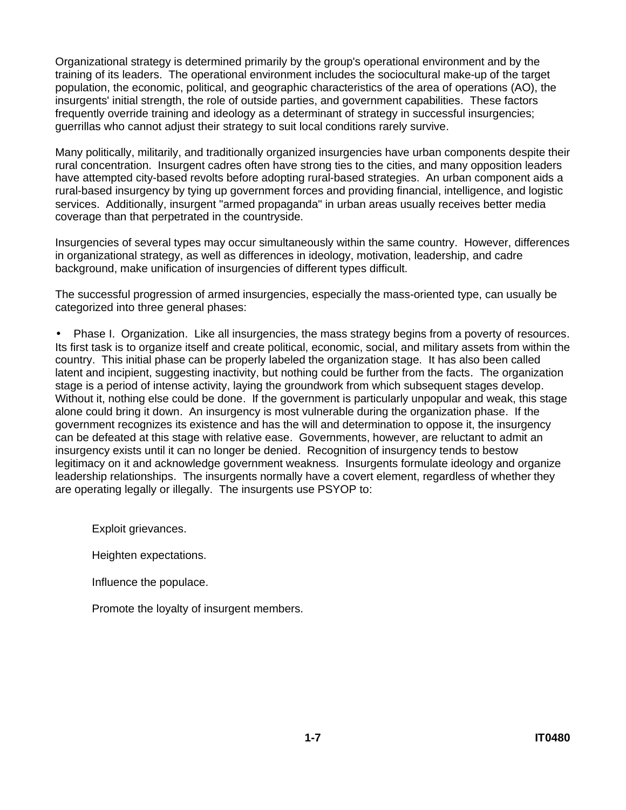Organizational strategy is determined primarily by the group's operational environment and by the training of its leaders. The operational environment includes the sociocultural make-up of the target population, the economic, political, and geographic characteristics of the area of operations (AO), the insurgents' initial strength, the role of outside parties, and government capabilities. These factors frequently override training and ideology as a determinant of strategy in successful insurgencies; guerrillas who cannot adjust their strategy to suit local conditions rarely survive.

Many politically, militarily, and traditionally organized insurgencies have urban components despite their rural concentration. Insurgent cadres often have strong ties to the cities, and many opposition leaders have attempted city-based revolts before adopting rural-based strategies. An urban component aids a rural-based insurgency by tying up government forces and providing financial, intelligence, and logistic services. Additionally, insurgent "armed propaganda" in urban areas usually receives better media coverage than that perpetrated in the countryside.

Insurgencies of several types may occur simultaneously within the same country. However, differences in organizational strategy, as well as differences in ideology, motivation, leadership, and cadre background, make unification of insurgencies of different types difficult.

The successful progression of armed insurgencies, especially the mass-oriented type, can usually be categorized into three general phases:

• Phase I. Organization. Like all insurgencies, the mass strategy begins from a poverty of resources. Its first task is to organize itself and create political, economic, social, and military assets from within the country. This initial phase can be properly labeled the organization stage. It has also been called latent and incipient, suggesting inactivity, but nothing could be further from the facts. The organization stage is a period of intense activity, laying the groundwork from which subsequent stages develop. Without it, nothing else could be done. If the government is particularly unpopular and weak, this stage alone could bring it down. An insurgency is most vulnerable during the organization phase. If the government recognizes its existence and has the will and determination to oppose it, the insurgency can be defeated at this stage with relative ease. Governments, however, are reluctant to admit an insurgency exists until it can no longer be denied. Recognition of insurgency tends to bestow legitimacy on it and acknowledge government weakness. Insurgents formulate ideology and organize leadership relationships. The insurgents normally have a covert element, regardless of whether they are operating legally or illegally. The insurgents use PSYOP to:

Exploit grievances.

Heighten expectations.

Influence the populace.

Promote the loyalty of insurgent members.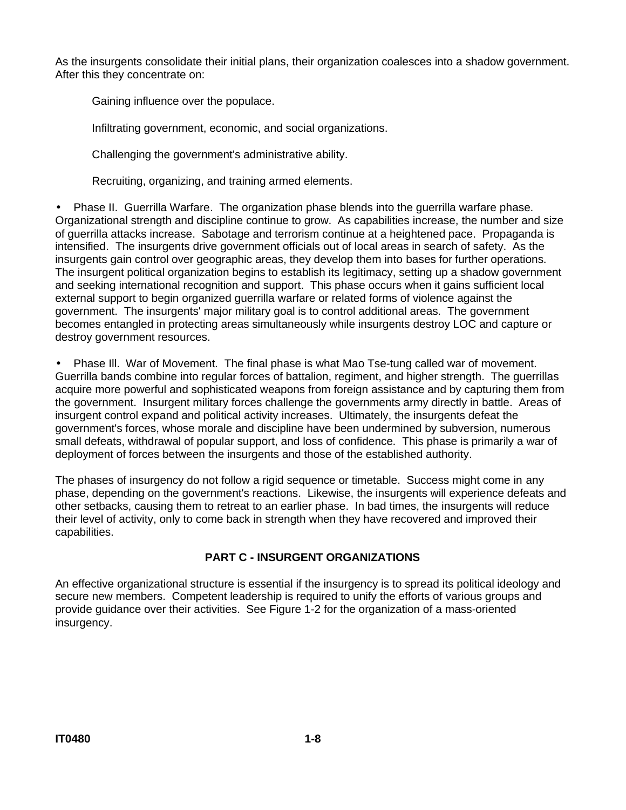As the insurgents consolidate their initial plans, their organization coalesces into a shadow government. After this they concentrate on:

Gaining influence over the populace.

Infiltrating government, economic, and social organizations.

Challenging the government's administrative ability.

Recruiting, organizing, and training armed elements.

• Phase II. Guerrilla Warfare. The organization phase blends into the guerrilla warfare phase. Organizational strength and discipline continue to grow. As capabilities increase, the number and size of guerrilla attacks increase. Sabotage and terrorism continue at a heightened pace. Propaganda is intensified. The insurgents drive government officials out of local areas in search of safety. As the insurgents gain control over geographic areas, they develop them into bases for further operations. The insurgent political organization begins to establish its legitimacy, setting up a shadow government and seeking international recognition and support. This phase occurs when it gains sufficient local external support to begin organized guerrilla warfare or related forms of violence against the government. The insurgents' major military goal is to control additional areas. The government becomes entangled in protecting areas simultaneously while insurgents destroy LOC and capture or destroy government resources.

• Phase Ill. War of Movement. The final phase is what Mao Tse-tung called war of movement. Guerrilla bands combine into regular forces of battalion, regiment, and higher strength. The guerrillas acquire more powerful and sophisticated weapons from foreign assistance and by capturing them from the government. Insurgent military forces challenge the governments army directly in battle. Areas of insurgent control expand and political activity increases. Ultimately, the insurgents defeat the government's forces, whose morale and discipline have been undermined by subversion, numerous small defeats, withdrawal of popular support, and loss of confidence. This phase is primarily a war of deployment of forces between the insurgents and those of the established authority.

The phases of insurgency do not follow a rigid sequence or timetable. Success might come in any phase, depending on the government's reactions. Likewise, the insurgents will experience defeats and other setbacks, causing them to retreat to an earlier phase. In bad times, the insurgents will reduce their level of activity, only to come back in strength when they have recovered and improved their capabilities.

## **PART C - INSURGENT ORGANIZATIONS**

An effective organizational structure is essential if the insurgency is to spread its political ideology and secure new members. Competent leadership is required to unify the efforts of various groups and provide guidance over their activities. See Figure 1-2 for the organization of a mass-oriented insurgency.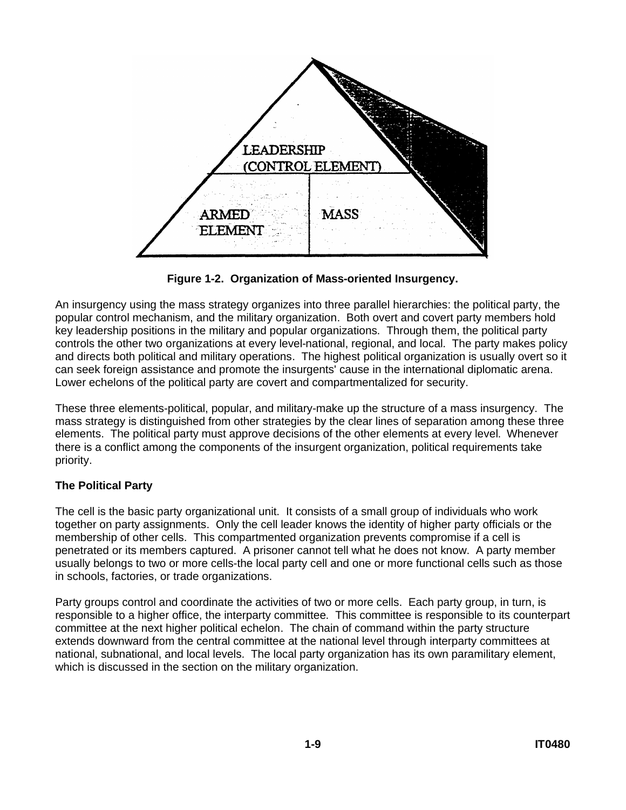

**Figure 1-2. Organization of Mass-oriented Insurgency.**

An insurgency using the mass strategy organizes into three parallel hierarchies: the political party, the popular control mechanism, and the military organization. Both overt and covert party members hold key leadership positions in the military and popular organizations. Through them, the political party controls the other two organizations at every level-national, regional, and local. The party makes policy and directs both political and military operations. The highest political organization is usually overt so it can seek foreign assistance and promote the insurgents' cause in the international diplomatic arena. Lower echelons of the political party are covert and compartmentalized for security.

These three elements-political, popular, and military-make up the structure of a mass insurgency. The mass strategy is distinguished from other strategies by the clear lines of separation among these three elements. The political party must approve decisions of the other elements at every level. Whenever there is a conflict among the components of the insurgent organization, political requirements take priority.

## **The Political Party**

The cell is the basic party organizational unit. It consists of a small group of individuals who work together on party assignments. Only the cell leader knows the identity of higher party officials or the membership of other cells. This compartmented organization prevents compromise if a cell is penetrated or its members captured. A prisoner cannot tell what he does not know. A party member usually belongs to two or more cells-the local party cell and one or more functional cells such as those in schools, factories, or trade organizations.

Party groups control and coordinate the activities of two or more cells. Each party group, in turn, is responsible to a higher office, the interparty committee. This committee is responsible to its counterpart committee at the next higher political echelon. The chain of command within the party structure extends downward from the central committee at the national level through interparty committees at national, subnational, and local levels. The local party organization has its own paramilitary element, which is discussed in the section on the military organization.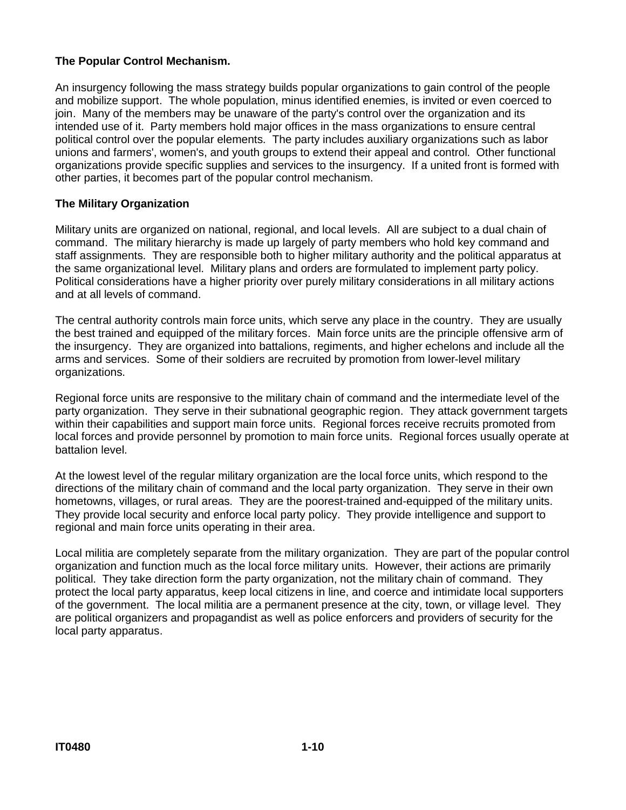### **The Popular Control Mechanism.**

An insurgency following the mass strategy builds popular organizations to gain control of the people and mobilize support. The whole population, minus identified enemies, is invited or even coerced to join. Many of the members may be unaware of the party's control over the organization and its intended use of it. Party members hold major offices in the mass organizations to ensure central political control over the popular elements. The party includes auxiliary organizations such as labor unions and farmers', women's, and youth groups to extend their appeal and control. Other functional organizations provide specific supplies and services to the insurgency. If a united front is formed with other parties, it becomes part of the popular control mechanism.

#### **The Military Organization**

Military units are organized on national, regional, and local levels. All are subject to a dual chain of command. The military hierarchy is made up largely of party members who hold key command and staff assignments. They are responsible both to higher military authority and the political apparatus at the same organizational level. Military plans and orders are formulated to implement party policy. Political considerations have a higher priority over purely military considerations in all military actions and at all levels of command.

The central authority controls main force units, which serve any place in the country. They are usually the best trained and equipped of the military forces. Main force units are the principle offensive arm of the insurgency. They are organized into battalions, regiments, and higher echelons and include all the arms and services. Some of their soldiers are recruited by promotion from lower-level military organizations.

Regional force units are responsive to the military chain of command and the intermediate level of the party organization. They serve in their subnational geographic region. They attack government targets within their capabilities and support main force units. Regional forces receive recruits promoted from local forces and provide personnel by promotion to main force units. Regional forces usually operate at battalion level.

At the lowest level of the regular military organization are the local force units, which respond to the directions of the military chain of command and the local party organization. They serve in their own hometowns, villages, or rural areas. They are the poorest-trained and-equipped of the military units. They provide local security and enforce local party policy. They provide intelligence and support to regional and main force units operating in their area.

Local militia are completely separate from the military organization. They are part of the popular control organization and function much as the local force military units. However, their actions are primarily political. They take direction form the party organization, not the military chain of command. They protect the local party apparatus, keep local citizens in line, and coerce and intimidate local supporters of the government. The local militia are a permanent presence at the city, town, or village level. They are political organizers and propagandist as well as police enforcers and providers of security for the local party apparatus.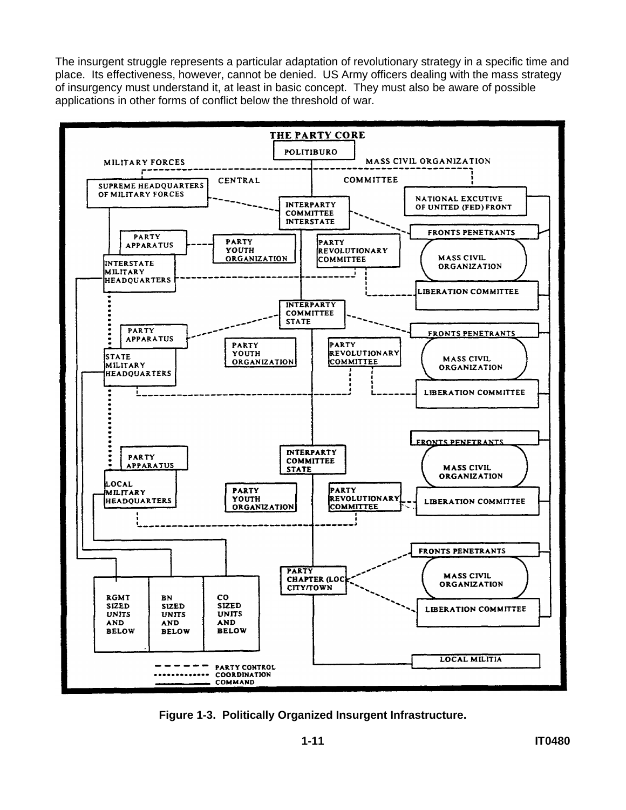The insurgent struggle represents a particular adaptation of revolutionary strategy in a specific time and place. Its effectiveness, however, cannot be denied. US Army officers dealing with the mass strategy of insurgency must understand it, at least in basic concept. They must also be aware of possible applications in other forms of conflict below the threshold of war.



**Figure 1-3. Politically Organized Insurgent Infrastructure.**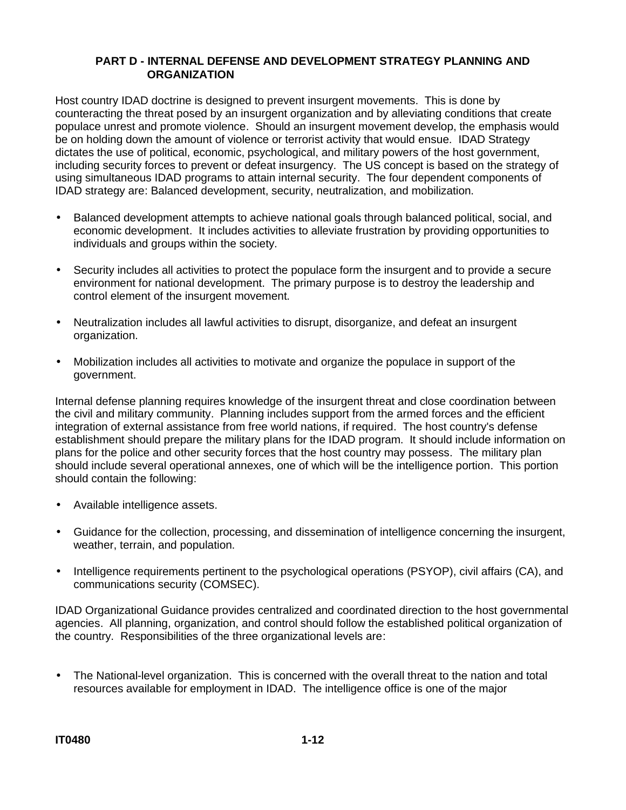#### **PART D - INTERNAL DEFENSE AND DEVELOPMENT STRATEGY PLANNING AND ORGANIZATION**

Host country IDAD doctrine is designed to prevent insurgent movements. This is done by counteracting the threat posed by an insurgent organization and by alleviating conditions that create populace unrest and promote violence. Should an insurgent movement develop, the emphasis would be on holding down the amount of violence or terrorist activity that would ensue. IDAD Strategy dictates the use of political, economic, psychological, and military powers of the host government, including security forces to prevent or defeat insurgency. The US concept is based on the strategy of using simultaneous IDAD programs to attain internal security. The four dependent components of IDAD strategy are: Balanced development, security, neutralization, and mobilization.

- Balanced development attempts to achieve national goals through balanced political, social, and economic development. It includes activities to alleviate frustration by providing opportunities to individuals and groups within the society.
- Security includes all activities to protect the populace form the insurgent and to provide a secure environment for national development. The primary purpose is to destroy the leadership and control element of the insurgent movement.
- Neutralization includes all lawful activities to disrupt, disorganize, and defeat an insurgent organization.
- Mobilization includes all activities to motivate and organize the populace in support of the government.

Internal defense planning requires knowledge of the insurgent threat and close coordination between the civil and military community. Planning includes support from the armed forces and the efficient integration of external assistance from free world nations, if required. The host country's defense establishment should prepare the military plans for the IDAD program. It should include information on plans for the police and other security forces that the host country may possess. The military plan should include several operational annexes, one of which will be the intelligence portion. This portion should contain the following:

- Available intelligence assets.
- Guidance for the collection, processing, and dissemination of intelligence concerning the insurgent, weather, terrain, and population.
- Intelligence requirements pertinent to the psychological operations (PSYOP), civil affairs (CA), and communications security (COMSEC).

IDAD Organizational Guidance provides centralized and coordinated direction to the host governmental agencies. All planning, organization, and control should follow the established political organization of the country. Responsibilities of the three organizational levels are:

• The National-level organization. This is concerned with the overall threat to the nation and total resources available for employment in IDAD. The intelligence office is one of the major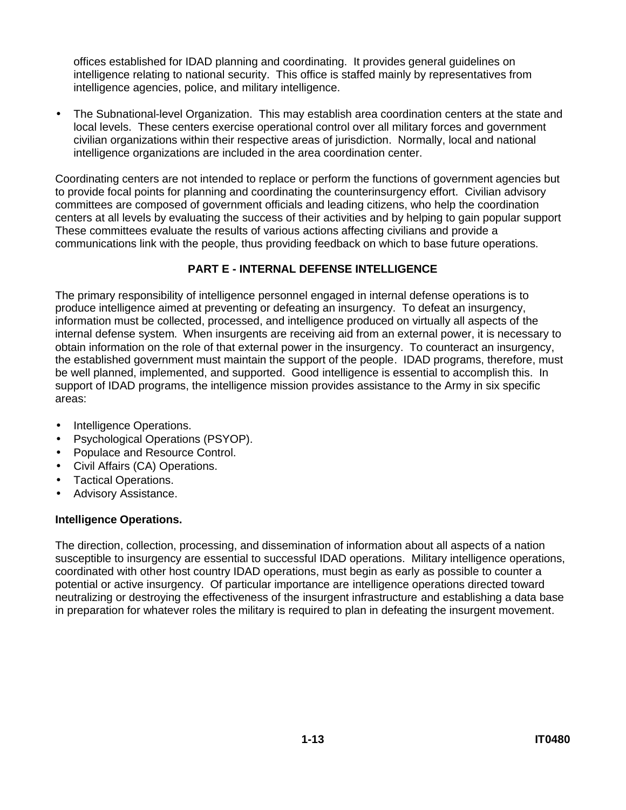offices established for IDAD planning and coordinating. It provides general guidelines on intelligence relating to national security. This office is staffed mainly by representatives from intelligence agencies, police, and military intelligence.

• The Subnational-level Organization. This may establish area coordination centers at the state and local levels. These centers exercise operational control over all military forces and government civilian organizations within their respective areas of jurisdiction. Normally, local and national intelligence organizations are included in the area coordination center.

Coordinating centers are not intended to replace or perform the functions of government agencies but to provide focal points for planning and coordinating the counterinsurgency effort. Civilian advisory committees are composed of government officials and leading citizens, who help the coordination centers at all levels by evaluating the success of their activities and by helping to gain popular support These committees evaluate the results of various actions affecting civilians and provide a communications link with the people, thus providing feedback on which to base future operations.

## **PART E - INTERNAL DEFENSE INTELLIGENCE**

The primary responsibility of intelligence personnel engaged in internal defense operations is to produce intelligence aimed at preventing or defeating an insurgency. To defeat an insurgency, information must be collected, processed, and intelligence produced on virtually all aspects of the internal defense system. When insurgents are receiving aid from an external power, it is necessary to obtain information on the role of that external power in the insurgency. To counteract an insurgency, the established government must maintain the support of the people. IDAD programs, therefore, must be well planned, implemented, and supported. Good intelligence is essential to accomplish this. In support of IDAD programs, the intelligence mission provides assistance to the Army in six specific areas:

- Intelligence Operations.
- Psychological Operations (PSYOP).
- Populace and Resource Control.
- Civil Affairs (CA) Operations.
- Tactical Operations.
- Advisory Assistance.

#### **Intelligence Operations.**

The direction, collection, processing, and dissemination of information about all aspects of a nation susceptible to insurgency are essential to successful IDAD operations. Military intelligence operations, coordinated with other host country IDAD operations, must begin as early as possible to counter a potential or active insurgency. Of particular importance are intelligence operations directed toward neutralizing or destroying the effectiveness of the insurgent infrastructure and establishing a data base in preparation for whatever roles the military is required to plan in defeating the insurgent movement.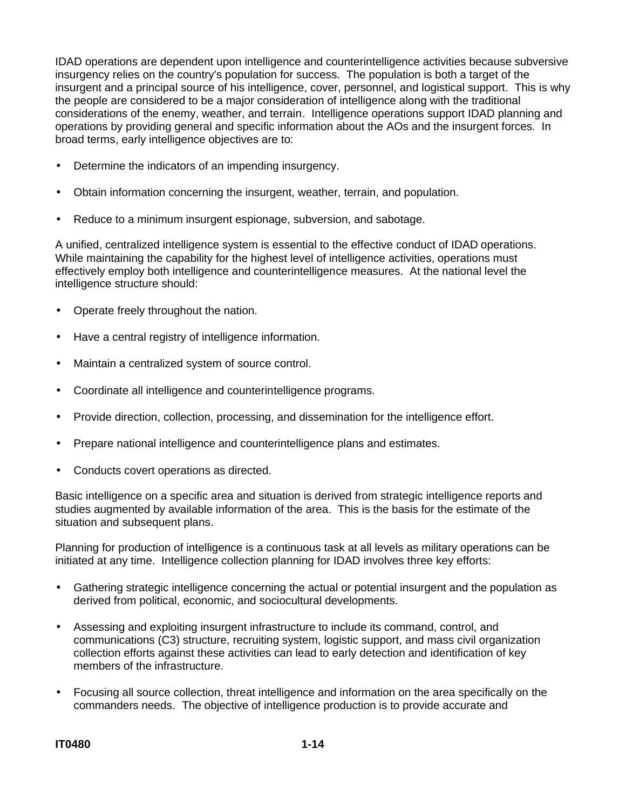IDAD operations are dependent upon intelligence and counterintelligence activities because subversive insurgency relies on the country's population for success. The population is both a target of the insurgent and a principal source of his intelligence, cover, personnel, and logistical support. This is why the people are considered to be a major consideration of intelligence along with the traditional considerations of the enemy, weather, and terrain. Intelligence operations support IDAD planning and operations by providing general and specific information about the AOs and the insurgent forces. In broad terms, early intelligence objectives are to:

- Determine the indicators of an impending insurgency.
- Obtain information concerning the insurgent, weather, terrain, and population.
- Reduce to a minimum insurgent espionage, subversion, and sabotage.

A unified, centralized intelligence system is essential to the effective conduct of IDAD operations. While maintaining the capability for the highest level of intelligence activities, operations must effectively employ both intelligence and counterintelligence measures. At the national level the intelligence structure should:

- Operate freely throughout the nation.
- Have a central registry of intelligence information.
- Maintain a centralized system of source control.
- Coordinate all intelligence and counterintelligence programs.
- Provide direction, collection, processing, and dissemination for the intelligence effort.
- Prepare national intelligence and counterintelligence plans and estimates.
- Conducts covert operations as directed.

Basic intelligence on a specific area and situation is derived from strategic intelligence reports and studies augmented by available information of the area. This is the basis for the estimate of the situation and subsequent plans.

Planning for production of intelligence is a continuous task at all levels as military operations can be initiated at any time. Intelligence collection planning for IDAD involves three key efforts:

- Gathering strategic intelligence concerning the actual or potential insurgent and the population as derived from political, economic, and sociocultural developments.
- Assessing and exploiting insurgent infrastructure to include its command, control, and communications (C3) structure, recruiting system, logistic support, and mass civil organization collection efforts against these activities can lead to early detection and identification of key members of the infrastructure.
- Focusing all source collection, threat intelligence and information on the area specifically on the commanders needs. The objective of intelligence production is to provide accurate and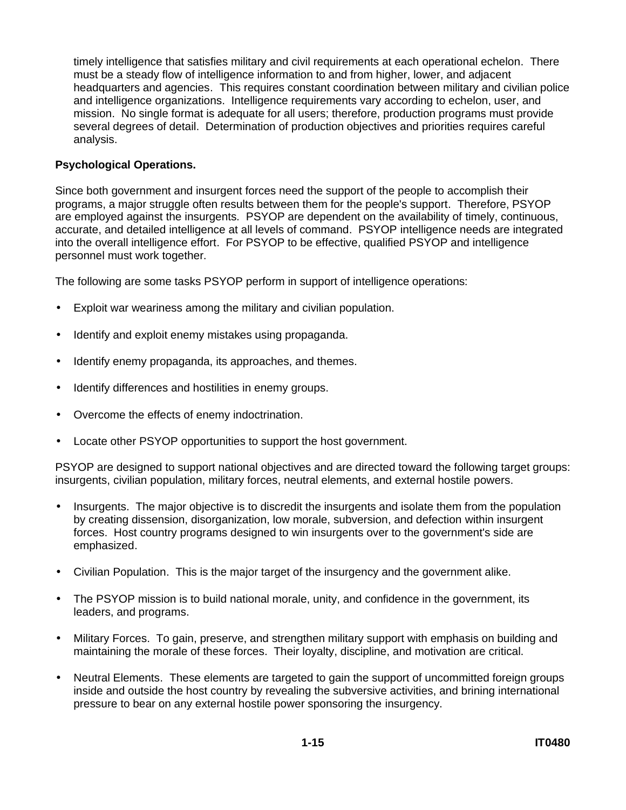timely intelligence that satisfies military and civil requirements at each operational echelon. There must be a steady flow of intelligence information to and from higher, lower, and adjacent headquarters and agencies. This requires constant coordination between military and civilian police and intelligence organizations. Intelligence requirements vary according to echelon, user, and mission. No single format is adequate for all users; therefore, production programs must provide several degrees of detail. Determination of production objectives and priorities requires careful analysis.

### **Psychological Operations.**

Since both government and insurgent forces need the support of the people to accomplish their programs, a major struggle often results between them for the people's support. Therefore, PSYOP are employed against the insurgents. PSYOP are dependent on the availability of timely, continuous, accurate, and detailed intelligence at all levels of command. PSYOP intelligence needs are integrated into the overall intelligence effort. For PSYOP to be effective, qualified PSYOP and intelligence personnel must work together.

The following are some tasks PSYOP perform in support of intelligence operations:

- Exploit war weariness among the military and civilian population.
- Identify and exploit enemy mistakes using propaganda.
- Identify enemy propaganda, its approaches, and themes.
- Identify differences and hostilities in enemy groups.
- Overcome the effects of enemy indoctrination.
- Locate other PSYOP opportunities to support the host government.

PSYOP are designed to support national objectives and are directed toward the following target groups: insurgents, civilian population, military forces, neutral elements, and external hostile powers.

- Insurgents. The major objective is to discredit the insurgents and isolate them from the population by creating dissension, disorganization, low morale, subversion, and defection within insurgent forces. Host country programs designed to win insurgents over to the government's side are emphasized.
- Civilian Population. This is the major target of the insurgency and the government alike.
- The PSYOP mission is to build national morale, unity, and confidence in the government, its leaders, and programs.
- Military Forces. To gain, preserve, and strengthen military support with emphasis on building and maintaining the morale of these forces. Their loyalty, discipline, and motivation are critical.
- Neutral Elements. These elements are targeted to gain the support of uncommitted foreign groups inside and outside the host country by revealing the subversive activities, and brining international pressure to bear on any external hostile power sponsoring the insurgency.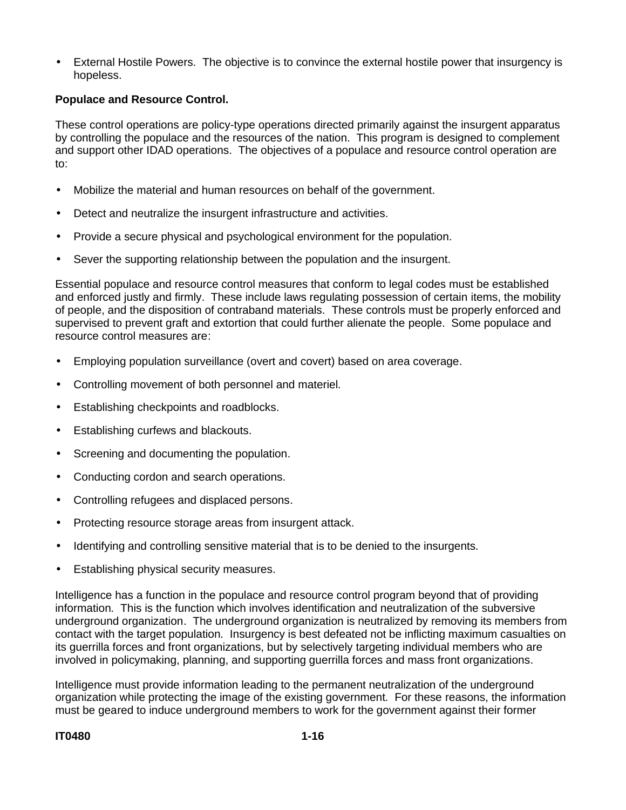• External Hostile Powers. The objective is to convince the external hostile power that insurgency is hopeless.

#### **Populace and Resource Control.**

These control operations are policy-type operations directed primarily against the insurgent apparatus by controlling the populace and the resources of the nation. This program is designed to complement and support other IDAD operations. The objectives of a populace and resource control operation are to:

- Mobilize the material and human resources on behalf of the government.
- Detect and neutralize the insurgent infrastructure and activities.
- Provide a secure physical and psychological environment for the population.
- Sever the supporting relationship between the population and the insurgent.

Essential populace and resource control measures that conform to legal codes must be established and enforced justly and firmly. These include laws regulating possession of certain items, the mobility of people, and the disposition of contraband materials. These controls must be properly enforced and supervised to prevent graft and extortion that could further alienate the people. Some populace and resource control measures are:

- Employing population surveillance (overt and covert) based on area coverage.
- Controlling movement of both personnel and materiel.
- Establishing checkpoints and roadblocks.
- Establishing curfews and blackouts.
- Screening and documenting the population.
- Conducting cordon and search operations.
- Controlling refugees and displaced persons.
- Protecting resource storage areas from insurgent attack.
- Identifying and controlling sensitive material that is to be denied to the insurgents.
- Establishing physical security measures.

Intelligence has a function in the populace and resource control program beyond that of providing information. This is the function which involves identification and neutralization of the subversive underground organization. The underground organization is neutralized by removing its members from contact with the target population. Insurgency is best defeated not be inflicting maximum casualties on its guerrilla forces and front organizations, but by selectively targeting individual members who are involved in policymaking, planning, and supporting guerrilla forces and mass front organizations.

Intelligence must provide information leading to the permanent neutralization of the underground organization while protecting the image of the existing government. For these reasons, the information must be geared to induce underground members to work for the government against their former

#### **IT0480 1-16**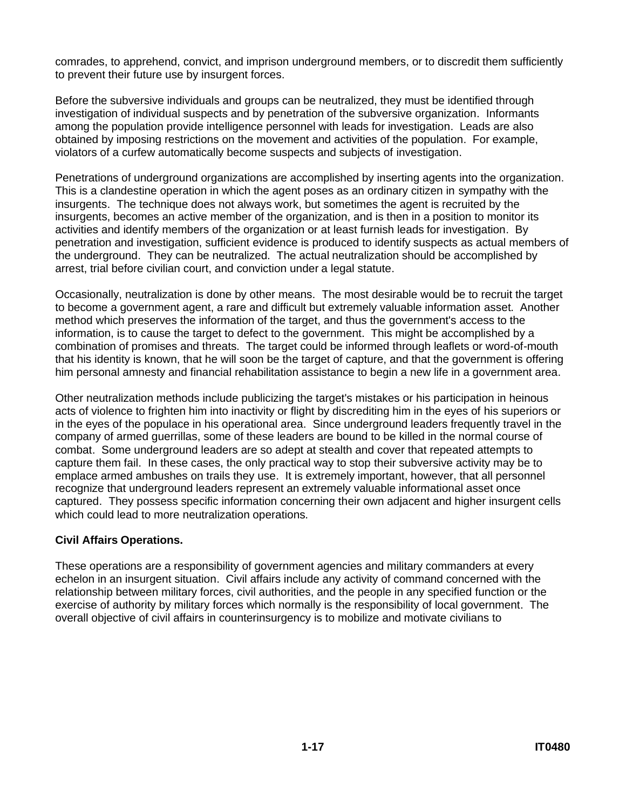comrades, to apprehend, convict, and imprison underground members, or to discredit them sufficiently to prevent their future use by insurgent forces.

Before the subversive individuals and groups can be neutralized, they must be identified through investigation of individual suspects and by penetration of the subversive organization. Informants among the population provide intelligence personnel with leads for investigation. Leads are also obtained by imposing restrictions on the movement and activities of the population. For example, violators of a curfew automatically become suspects and subjects of investigation.

Penetrations of underground organizations are accomplished by inserting agents into the organization. This is a clandestine operation in which the agent poses as an ordinary citizen in sympathy with the insurgents. The technique does not always work, but sometimes the agent is recruited by the insurgents, becomes an active member of the organization, and is then in a position to monitor its activities and identify members of the organization or at least furnish leads for investigation. By penetration and investigation, sufficient evidence is produced to identify suspects as actual members of the underground. They can be neutralized. The actual neutralization should be accomplished by arrest, trial before civilian court, and conviction under a legal statute.

Occasionally, neutralization is done by other means. The most desirable would be to recruit the target to become a government agent, a rare and difficult but extremely valuable information asset. Another method which preserves the information of the target, and thus the government's access to the information, is to cause the target to defect to the government. This might be accomplished by a combination of promises and threats. The target could be informed through leaflets or word-of-mouth that his identity is known, that he will soon be the target of capture, and that the government is offering him personal amnesty and financial rehabilitation assistance to begin a new life in a government area.

Other neutralization methods include publicizing the target's mistakes or his participation in heinous acts of violence to frighten him into inactivity or flight by discrediting him in the eyes of his superiors or in the eyes of the populace in his operational area. Since underground leaders frequently travel in the company of armed guerrillas, some of these leaders are bound to be killed in the normal course of combat. Some underground leaders are so adept at stealth and cover that repeated attempts to capture them fail. In these cases, the only practical way to stop their subversive activity may be to emplace armed ambushes on trails they use. It is extremely important, however, that all personnel recognize that underground leaders represent an extremely valuable informational asset once captured. They possess specific information concerning their own adjacent and higher insurgent cells which could lead to more neutralization operations.

## **Civil Affairs Operations.**

These operations are a responsibility of government agencies and military commanders at every echelon in an insurgent situation. Civil affairs include any activity of command concerned with the relationship between military forces, civil authorities, and the people in any specified function or the exercise of authority by military forces which normally is the responsibility of local government. The overall objective of civil affairs in counterinsurgency is to mobilize and motivate civilians to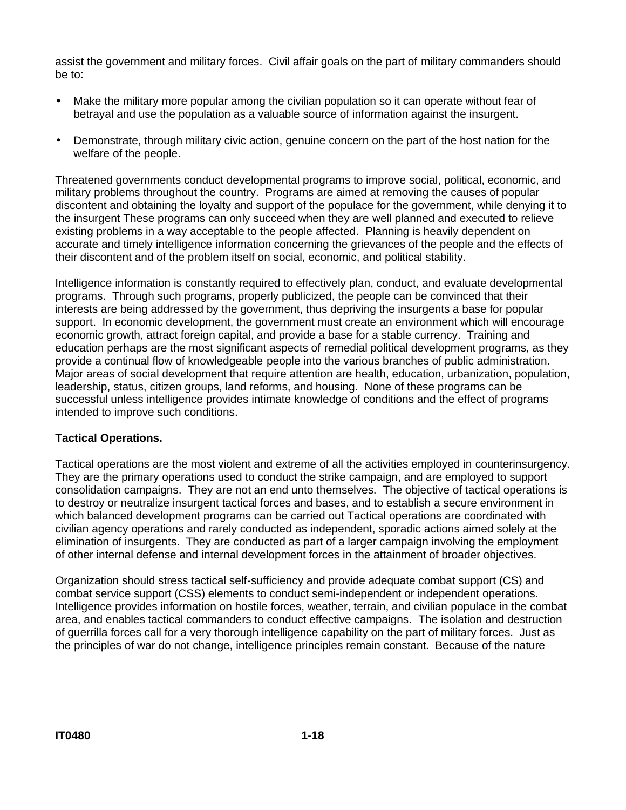assist the government and military forces. Civil affair goals on the part of military commanders should be to:

- Make the military more popular among the civilian population so it can operate without fear of betrayal and use the population as a valuable source of information against the insurgent.
- Demonstrate, through military civic action, genuine concern on the part of the host nation for the welfare of the people.

Threatened governments conduct developmental programs to improve social, political, economic, and military problems throughout the country. Programs are aimed at removing the causes of popular discontent and obtaining the loyalty and support of the populace for the government, while denying it to the insurgent These programs can only succeed when they are well planned and executed to relieve existing problems in a way acceptable to the people affected. Planning is heavily dependent on accurate and timely intelligence information concerning the grievances of the people and the effects of their discontent and of the problem itself on social, economic, and political stability.

Intelligence information is constantly required to effectively plan, conduct, and evaluate developmental programs. Through such programs, properly publicized, the people can be convinced that their interests are being addressed by the government, thus depriving the insurgents a base for popular support. In economic development, the government must create an environment which will encourage economic growth, attract foreign capital, and provide a base for a stable currency. Training and education perhaps are the most significant aspects of remedial political development programs, as they provide a continual flow of knowledgeable people into the various branches of public administration. Major areas of social development that require attention are health, education, urbanization, population, leadership, status, citizen groups, land reforms, and housing. None of these programs can be successful unless intelligence provides intimate knowledge of conditions and the effect of programs intended to improve such conditions.

#### **Tactical Operations.**

Tactical operations are the most violent and extreme of all the activities employed in counterinsurgency. They are the primary operations used to conduct the strike campaign, and are employed to support consolidation campaigns. They are not an end unto themselves. The objective of tactical operations is to destroy or neutralize insurgent tactical forces and bases, and to establish a secure environment in which balanced development programs can be carried out Tactical operations are coordinated with civilian agency operations and rarely conducted as independent, sporadic actions aimed solely at the elimination of insurgents. They are conducted as part of a larger campaign involving the employment of other internal defense and internal development forces in the attainment of broader objectives.

Organization should stress tactical self-sufficiency and provide adequate combat support (CS) and combat service support (CSS) elements to conduct semi-independent or independent operations. Intelligence provides information on hostile forces, weather, terrain, and civilian populace in the combat area, and enables tactical commanders to conduct effective campaigns. The isolation and destruction of guerrilla forces call for a very thorough intelligence capability on the part of military forces. Just as the principles of war do not change, intelligence principles remain constant. Because of the nature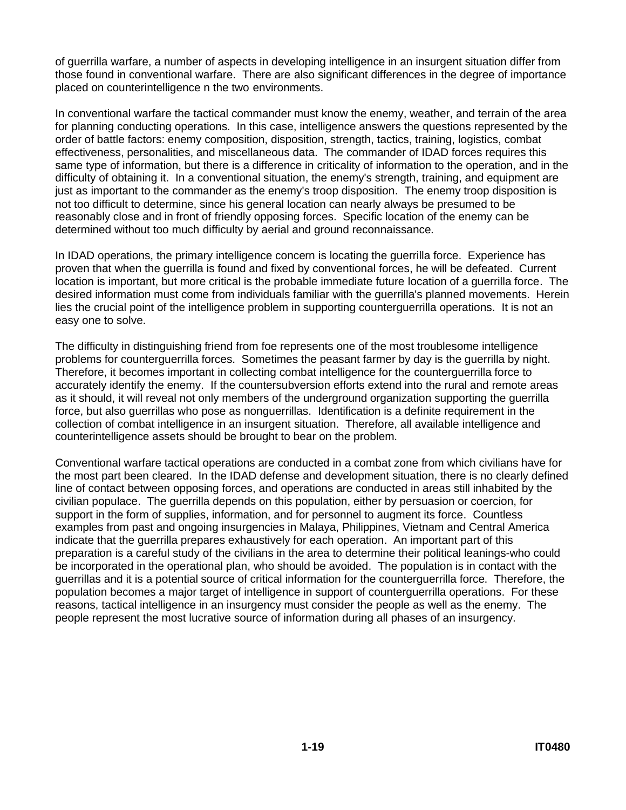of guerrilla warfare, a number of aspects in developing intelligence in an insurgent situation differ from those found in conventional warfare. There are also significant differences in the degree of importance placed on counterintelligence n the two environments.

In conventional warfare the tactical commander must know the enemy, weather, and terrain of the area for planning conducting operations. In this case, intelligence answers the questions represented by the order of battle factors: enemy composition, disposition, strength, tactics, training, logistics, combat effectiveness, personalities, and miscellaneous data. The commander of IDAD forces requires this same type of information, but there is a difference in criticality of information to the operation, and in the difficulty of obtaining it. In a conventional situation, the enemy's strength, training, and equipment are just as important to the commander as the enemy's troop disposition. The enemy troop disposition is not too difficult to determine, since his general location can nearly always be presumed to be reasonably close and in front of friendly opposing forces. Specific location of the enemy can be determined without too much difficulty by aerial and ground reconnaissance.

In IDAD operations, the primary intelligence concern is locating the guerrilla force. Experience has proven that when the guerrilla is found and fixed by conventional forces, he will be defeated. Current location is important, but more critical is the probable immediate future location of a guerrilla force. The desired information must come from individuals familiar with the guerrilla's planned movements. Herein lies the crucial point of the intelligence problem in supporting counterguerrilla operations. It is not an easy one to solve.

The difficulty in distinguishing friend from foe represents one of the most troublesome intelligence problems for counterguerrilla forces. Sometimes the peasant farmer by day is the guerrilla by night. Therefore, it becomes important in collecting combat intelligence for the counterguerrilla force to accurately identify the enemy. If the countersubversion efforts extend into the rural and remote areas as it should, it will reveal not only members of the underground organization supporting the guerrilla force, but also guerrillas who pose as nonguerrillas. Identification is a definite requirement in the collection of combat intelligence in an insurgent situation. Therefore, all available intelligence and counterintelligence assets should be brought to bear on the problem.

Conventional warfare tactical operations are conducted in a combat zone from which civilians have for the most part been cleared. In the IDAD defense and development situation, there is no clearly defined line of contact between opposing forces, and operations are conducted in areas still inhabited by the civilian populace. The guerrilla depends on this population, either by persuasion or coercion, for support in the form of supplies, information, and for personnel to augment its force. Countless examples from past and ongoing insurgencies in Malaya, Philippines, Vietnam and Central America indicate that the guerrilla prepares exhaustively for each operation. An important part of this preparation is a careful study of the civilians in the area to determine their political leanings-who could be incorporated in the operational plan, who should be avoided. The population is in contact with the guerrillas and it is a potential source of critical information for the counterguerrilla force. Therefore, the population becomes a major target of intelligence in support of counterguerrilla operations. For these reasons, tactical intelligence in an insurgency must consider the people as well as the enemy. The people represent the most lucrative source of information during all phases of an insurgency.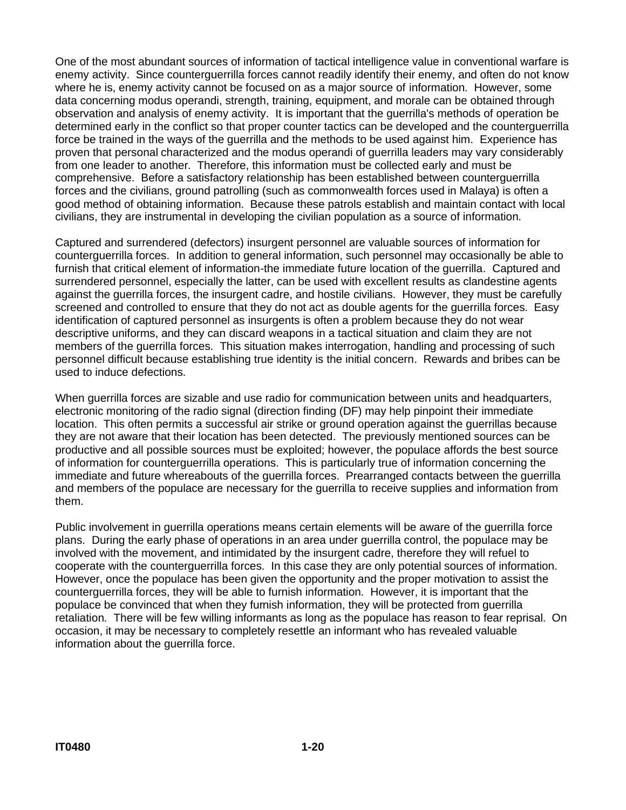One of the most abundant sources of information of tactical intelligence value in conventional warfare is enemy activity. Since counterguerrilla forces cannot readily identify their enemy, and often do not know where he is, enemy activity cannot be focused on as a major source of information. However, some data concerning modus operandi, strength, training, equipment, and morale can be obtained through observation and analysis of enemy activity. It is important that the guerrilla's methods of operation be determined early in the conflict so that proper counter tactics can be developed and the counterguerrilla force be trained in the ways of the guerrilla and the methods to be used against him. Experience has proven that personal characterized and the modus operandi of guerrilla leaders may vary considerably from one leader to another. Therefore, this information must be collected early and must be comprehensive. Before a satisfactory relationship has been established between counterguerrilla forces and the civilians, ground patrolling (such as commonwealth forces used in Malaya) is often a good method of obtaining information. Because these patrols establish and maintain contact with local civilians, they are instrumental in developing the civilian population as a source of information.

Captured and surrendered (defectors) insurgent personnel are valuable sources of information for counterguerrilla forces. In addition to general information, such personnel may occasionally be able to furnish that critical element of information-the immediate future location of the guerrilla. Captured and surrendered personnel, especially the latter, can be used with excellent results as clandestine agents against the guerrilla forces, the insurgent cadre, and hostile civilians. However, they must be carefully screened and controlled to ensure that they do not act as double agents for the guerrilla forces. Easy identification of captured personnel as insurgents is often a problem because they do not wear descriptive uniforms, and they can discard weapons in a tactical situation and claim they are not members of the guerrilla forces. This situation makes interrogation, handling and processing of such personnel difficult because establishing true identity is the initial concern. Rewards and bribes can be used to induce defections.

When guerrilla forces are sizable and use radio for communication between units and headquarters, electronic monitoring of the radio signal (direction finding (DF) may help pinpoint their immediate location. This often permits a successful air strike or ground operation against the guerrillas because they are not aware that their location has been detected. The previously mentioned sources can be productive and all possible sources must be exploited; however, the populace affords the best source of information for counterguerrilla operations. This is particularly true of information concerning the immediate and future whereabouts of the guerrilla forces. Prearranged contacts between the guerrilla and members of the populace are necessary for the guerrilla to receive supplies and information from them.

Public involvement in guerrilla operations means certain elements will be aware of the guerrilla force plans. During the early phase of operations in an area under guerrilla control, the populace may be involved with the movement, and intimidated by the insurgent cadre, therefore they will refuel to cooperate with the counterguerrilla forces. In this case they are only potential sources of information. However, once the populace has been given the opportunity and the proper motivation to assist the counterguerrilla forces, they will be able to furnish information. However, it is important that the populace be convinced that when they furnish information, they will be protected from guerrilla retaliation. There will be few willing informants as long as the populace has reason to fear reprisal. On occasion, it may be necessary to completely resettle an informant who has revealed valuable information about the guerrilla force.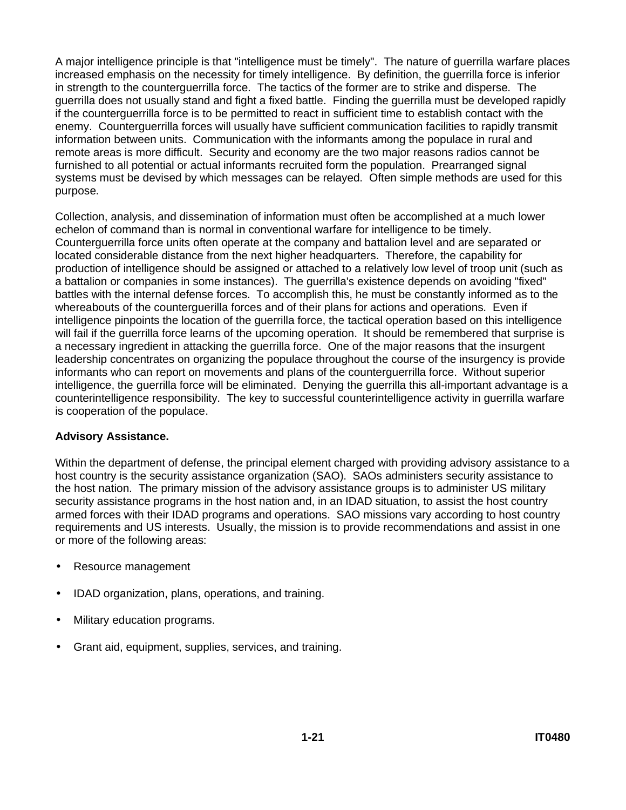A major intelligence principle is that "intelligence must be timely". The nature of guerrilla warfare places increased emphasis on the necessity for timely intelligence. By definition, the guerrilla force is inferior in strength to the counterguerrilla force. The tactics of the former are to strike and disperse. The guerrilla does not usually stand and fight a fixed battle. Finding the guerrilla must be developed rapidly if the counterguerrilla force is to be permitted to react in sufficient time to establish contact with the enemy. Counterguerrilla forces will usually have sufficient communication facilities to rapidly transmit information between units. Communication with the informants among the populace in rural and remote areas is more difficult. Security and economy are the two major reasons radios cannot be furnished to all potential or actual informants recruited form the population. Prearranged signal systems must be devised by which messages can be relayed. Often simple methods are used for this purpose.

Collection, analysis, and dissemination of information must often be accomplished at a much lower echelon of command than is normal in conventional warfare for intelligence to be timely. Counterguerrilla force units often operate at the company and battalion level and are separated or located considerable distance from the next higher headquarters. Therefore, the capability for production of intelligence should be assigned or attached to a relatively low level of troop unit (such as a battalion or companies in some instances). The guerrilla's existence depends on avoiding "fixed" battles with the internal defense forces. To accomplish this, he must be constantly informed as to the whereabouts of the counterguerilla forces and of their plans for actions and operations. Even if intelligence pinpoints the location of the guerrilla force, the tactical operation based on this intelligence will fail if the guerrilla force learns of the upcoming operation. It should be remembered that surprise is a necessary ingredient in attacking the guerrilla force. One of the major reasons that the insurgent leadership concentrates on organizing the populace throughout the course of the insurgency is provide informants who can report on movements and plans of the counterguerrilla force. Without superior intelligence, the guerrilla force will be eliminated. Denying the guerrilla this all-important advantage is a counterintelligence responsibility. The key to successful counterintelligence activity in guerrilla warfare is cooperation of the populace.

#### **Advisory Assistance.**

Within the department of defense, the principal element charged with providing advisory assistance to a host country is the security assistance organization (SAO). SAOs administers security assistance to the host nation. The primary mission of the advisory assistance groups is to administer US military security assistance programs in the host nation and, in an IDAD situation, to assist the host country armed forces with their IDAD programs and operations. SAO missions vary according to host country requirements and US interests. Usually, the mission is to provide recommendations and assist in one or more of the following areas:

- Resource management
- IDAD organization, plans, operations, and training.
- Military education programs.
- Grant aid, equipment, supplies, services, and training.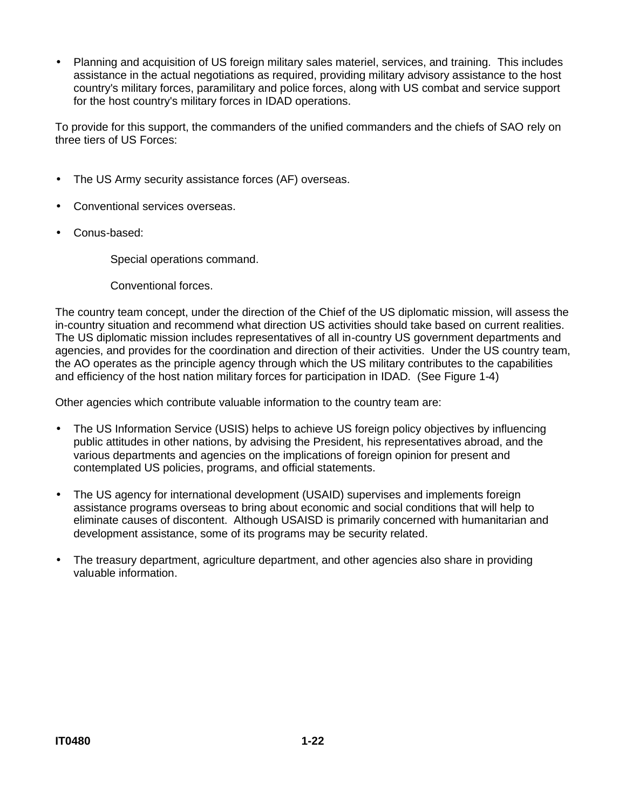• Planning and acquisition of US foreign military sales materiel, services, and training. This includes assistance in the actual negotiations as required, providing military advisory assistance to the host country's military forces, paramilitary and police forces, along with US combat and service support for the host country's military forces in IDAD operations.

To provide for this support, the commanders of the unified commanders and the chiefs of SAO rely on three tiers of US Forces:

- The US Army security assistance forces (AF) overseas.
- Conventional services overseas.
- Conus-based:

Special operations command.

Conventional forces.

The country team concept, under the direction of the Chief of the US diplomatic mission, will assess the in-country situation and recommend what direction US activities should take based on current realities. The US diplomatic mission includes representatives of all in-country US government departments and agencies, and provides for the coordination and direction of their activities. Under the US country team, the AO operates as the principle agency through which the US military contributes to the capabilities and efficiency of the host nation military forces for participation in IDAD. (See Figure 1-4)

Other agencies which contribute valuable information to the country team are:

- The US Information Service (USIS) helps to achieve US foreign policy objectives by influencing public attitudes in other nations, by advising the President, his representatives abroad, and the various departments and agencies on the implications of foreign opinion for present and contemplated US policies, programs, and official statements.
- The US agency for international development (USAID) supervises and implements foreign assistance programs overseas to bring about economic and social conditions that will help to eliminate causes of discontent. Although USAISD is primarily concerned with humanitarian and development assistance, some of its programs may be security related.
- The treasury department, agriculture department, and other agencies also share in providing valuable information.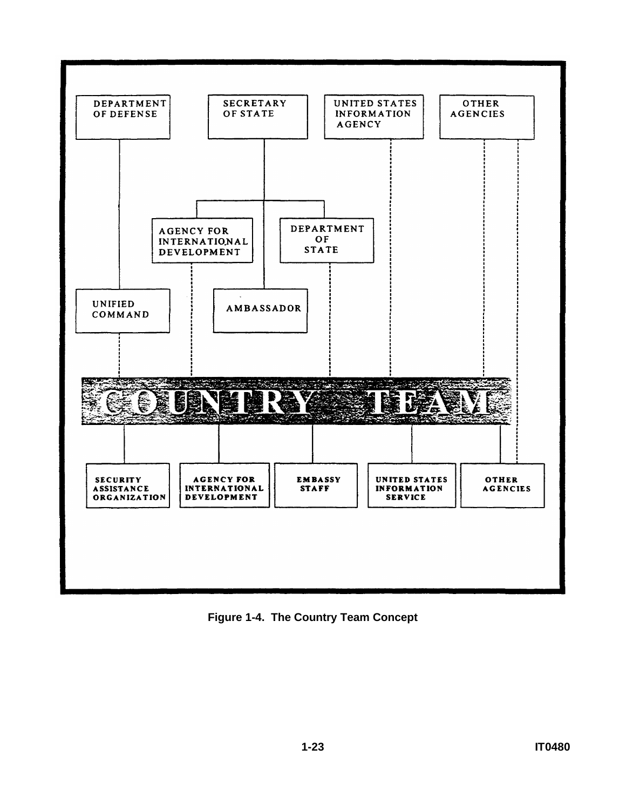

**Figure 1-4. The Country Team Concept**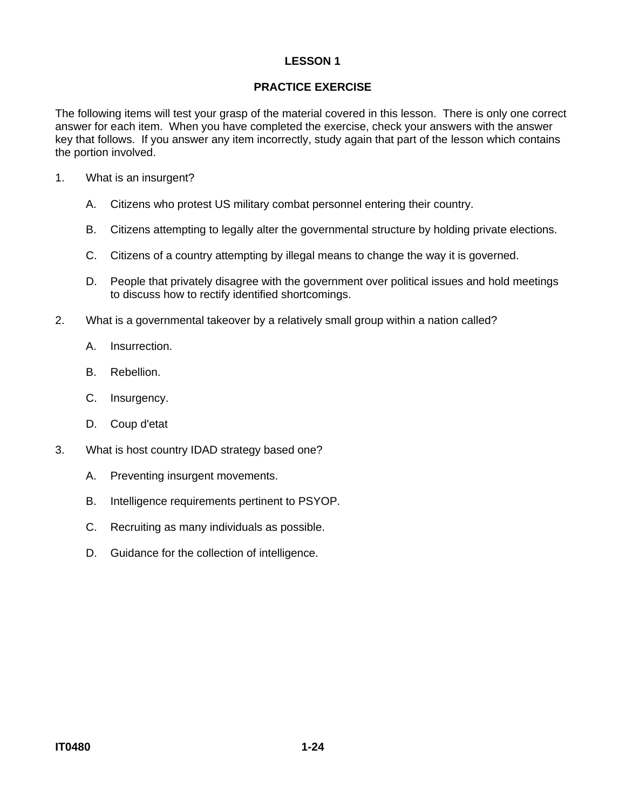## **PRACTICE EXERCISE**

The following items will test your grasp of the material covered in this lesson. There is only one correct answer for each item. When you have completed the exercise, check your answers with the answer key that follows. If you answer any item incorrectly, study again that part of the lesson which contains the portion involved.

- 1. What is an insurgent?
	- A. Citizens who protest US military combat personnel entering their country.
	- B. Citizens attempting to legally alter the governmental structure by holding private elections.
	- C. Citizens of a country attempting by illegal means to change the way it is governed.
	- D. People that privately disagree with the government over political issues and hold meetings to discuss how to rectify identified shortcomings.
- 2. What is a governmental takeover by a relatively small group within a nation called?
	- A. Insurrection.
	- B. Rebellion.
	- C. Insurgency.
	- D. Coup d'etat
- 3. What is host country IDAD strategy based one?
	- A. Preventing insurgent movements.
	- B. Intelligence requirements pertinent to PSYOP.
	- C. Recruiting as many individuals as possible.
	- D. Guidance for the collection of intelligence.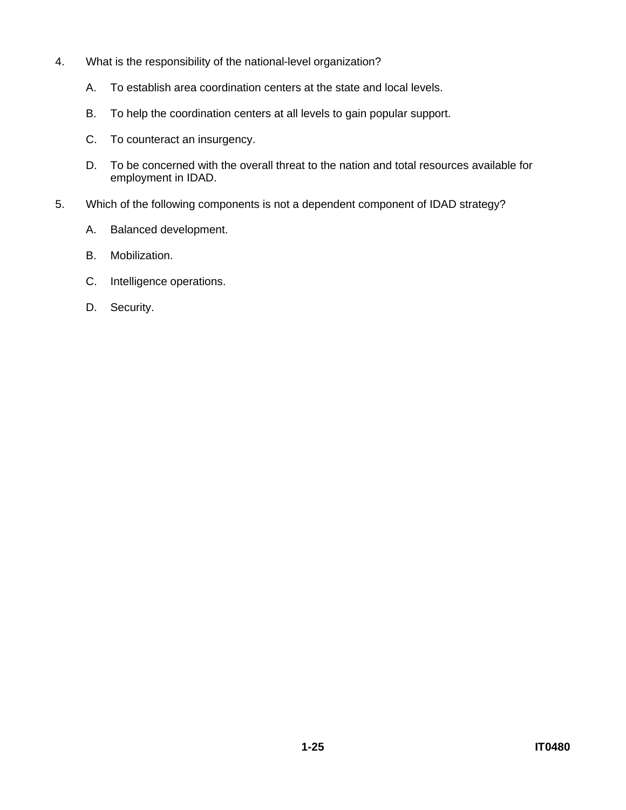- 4. What is the responsibility of the national-level organization?
	- A. To establish area coordination centers at the state and local levels.
	- B. To help the coordination centers at all levels to gain popular support.
	- C. To counteract an insurgency.
	- D. To be concerned with the overall threat to the nation and total resources available for employment in IDAD.
- 5. Which of the following components is not a dependent component of IDAD strategy?
	- A. Balanced development.
	- B. Mobilization.
	- C. Intelligence operations.
	- D. Security.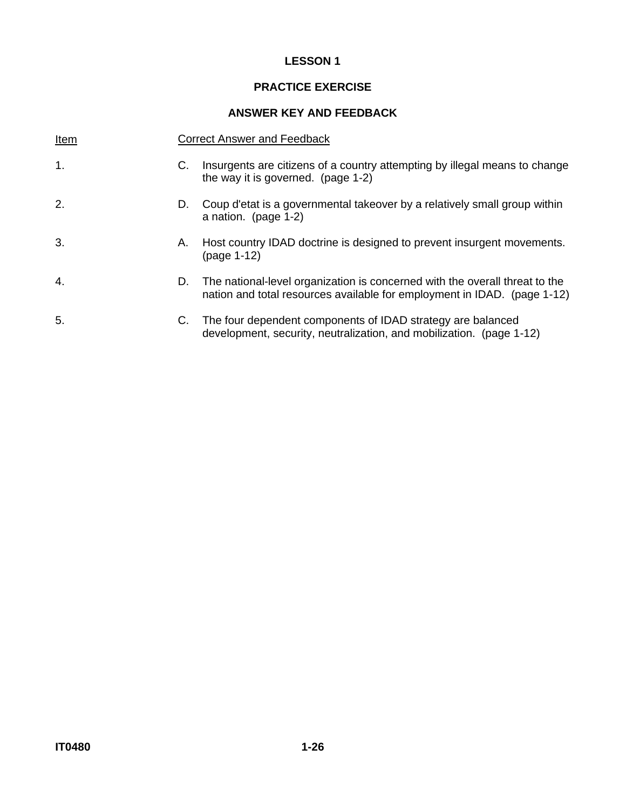## **PRACTICE EXERCISE**

#### **ANSWER KEY AND FEEDBACK**

| Item          |    | <b>Correct Answer and Feedback</b>                                                                                                                      |
|---------------|----|---------------------------------------------------------------------------------------------------------------------------------------------------------|
| $\mathbf 1$ . | C. | Insurgents are citizens of a country attempting by illegal means to change<br>the way it is governed. (page 1-2)                                        |
| 2.            | D. | Coup d'etat is a governmental takeover by a relatively small group within<br>a nation. (page 1-2)                                                       |
| 3.            | А. | Host country IDAD doctrine is designed to prevent insurgent movements.<br>(page 1-12)                                                                   |
| 4.            | D. | The national-level organization is concerned with the overall threat to the<br>nation and total resources available for employment in IDAD. (page 1-12) |
| 5.            | C. | The four dependent components of IDAD strategy are balanced<br>development, security, neutralization, and mobilization. (page 1-12)                     |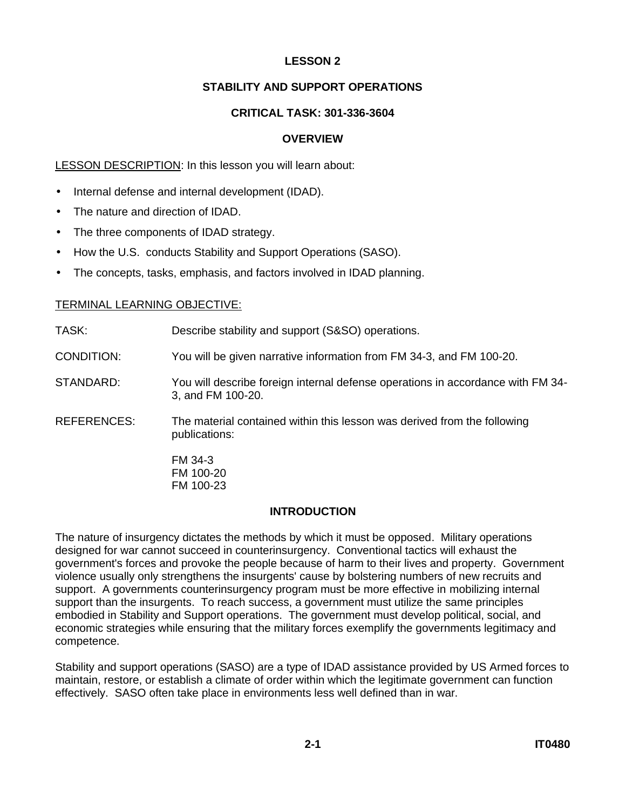## **STABILITY AND SUPPORT OPERATIONS**

## **CRITICAL TASK: 301-336-3604**

#### **OVERVIEW**

#### LESSON DESCRIPTION: In this lesson you will learn about:

- Internal defense and internal development (IDAD).
- The nature and direction of IDAD.
- The three components of IDAD strategy.
- How the U.S. conducts Stability and Support Operations (SASO).
- The concepts, tasks, emphasis, and factors involved in IDAD planning.

#### TERMINAL LEARNING OBJECTIVE:

| TASK:       | Describe stability and support (S&SO) operations.                                                    |
|-------------|------------------------------------------------------------------------------------------------------|
| CONDITION:  | You will be given narrative information from FM 34-3, and FM 100-20.                                 |
| STANDARD:   | You will describe foreign internal defense operations in accordance with FM 34-<br>3, and FM 100-20. |
| REFERENCES: | The material contained within this lesson was derived from the following<br>publications:            |
|             | FM 34-3<br><b>EM 100-20</b>                                                                          |

FM 100-20 FM 100-23

#### **INTRODUCTION**

The nature of insurgency dictates the methods by which it must be opposed. Military operations designed for war cannot succeed in counterinsurgency. Conventional tactics will exhaust the government's forces and provoke the people because of harm to their lives and property. Government violence usually only strengthens the insurgents' cause by bolstering numbers of new recruits and support. A governments counterinsurgency program must be more effective in mobilizing internal support than the insurgents. To reach success, a government must utilize the same principles embodied in Stability and Support operations. The government must develop political, social, and economic strategies while ensuring that the military forces exemplify the governments legitimacy and competence.

Stability and support operations (SASO) are a type of IDAD assistance provided by US Armed forces to maintain, restore, or establish a climate of order within which the legitimate government can function effectively. SASO often take place in environments less well defined than in war.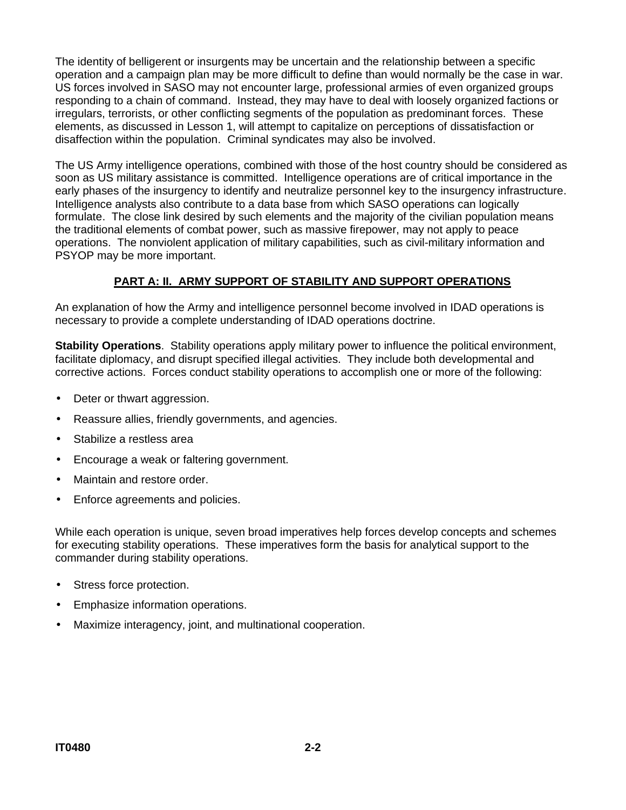The identity of belligerent or insurgents may be uncertain and the relationship between a specific operation and a campaign plan may be more difficult to define than would normally be the case in war. US forces involved in SASO may not encounter large, professional armies of even organized groups responding to a chain of command. Instead, they may have to deal with loosely organized factions or irregulars, terrorists, or other conflicting segments of the population as predominant forces. These elements, as discussed in Lesson 1, will attempt to capitalize on perceptions of dissatisfaction or disaffection within the population. Criminal syndicates may also be involved.

The US Army intelligence operations, combined with those of the host country should be considered as soon as US military assistance is committed. Intelligence operations are of critical importance in the early phases of the insurgency to identify and neutralize personnel key to the insurgency infrastructure. Intelligence analysts also contribute to a data base from which SASO operations can logically formulate. The close link desired by such elements and the majority of the civilian population means the traditional elements of combat power, such as massive firepower, may not apply to peace operations. The nonviolent application of military capabilities, such as civil-military information and PSYOP may be more important.

## **PART A: II. ARMY SUPPORT OF STABILITY AND SUPPORT OPERATIONS**

An explanation of how the Army and intelligence personnel become involved in IDAD operations is necessary to provide a complete understanding of IDAD operations doctrine.

**Stability Operations**. Stability operations apply military power to influence the political environment, facilitate diplomacy, and disrupt specified illegal activities. They include both developmental and corrective actions. Forces conduct stability operations to accomplish one or more of the following:

- Deter or thwart aggression.
- Reassure allies, friendly governments, and agencies.
- Stabilize a restless area
- Encourage a weak or faltering government.
- Maintain and restore order.
- Enforce agreements and policies.

While each operation is unique, seven broad imperatives help forces develop concepts and schemes for executing stability operations. These imperatives form the basis for analytical support to the commander during stability operations.

- Stress force protection.
- Emphasize information operations.
- Maximize interagency, joint, and multinational cooperation.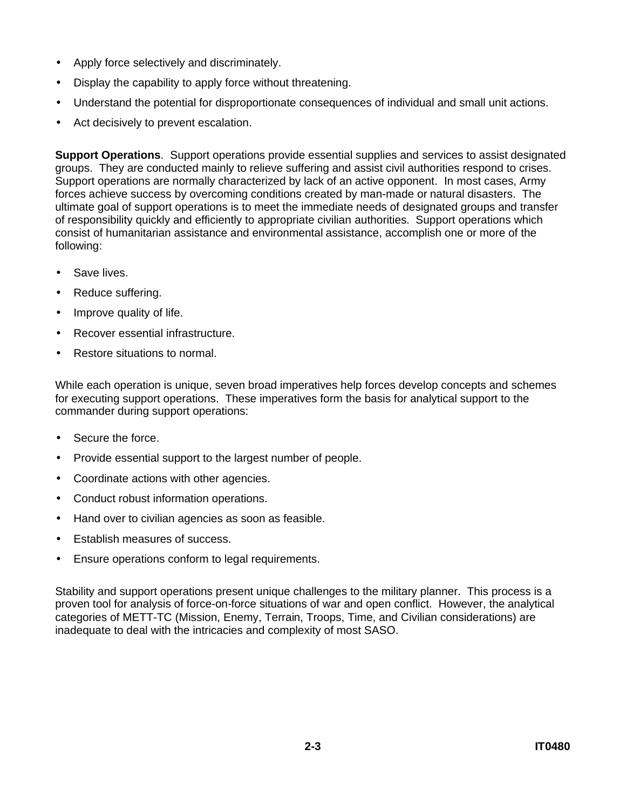- Apply force selectively and discriminately.
- Display the capability to apply force without threatening.
- Understand the potential for disproportionate consequences of individual and small unit actions.
- Act decisively to prevent escalation.

**Support Operations**. Support operations provide essential supplies and services to assist designated groups. They are conducted mainly to relieve suffering and assist civil authorities respond to crises. Support operations are normally characterized by lack of an active opponent. In most cases, Army forces achieve success by overcoming conditions created by man-made or natural disasters. The ultimate goal of support operations is to meet the immediate needs of designated groups and transfer of responsibility quickly and efficiently to appropriate civilian authorities. Support operations which consist of humanitarian assistance and environmental assistance, accomplish one or more of the following:

- Save lives.
- Reduce suffering.
- Improve quality of life.
- Recover essential infrastructure.
- Restore situations to normal.

While each operation is unique, seven broad imperatives help forces develop concepts and schemes for executing support operations. These imperatives form the basis for analytical support to the commander during support operations:

- Secure the force.
- Provide essential support to the largest number of people.
- Coordinate actions with other agencies.
- Conduct robust information operations.
- Hand over to civilian agencies as soon as feasible.
- Establish measures of success.
- Ensure operations conform to legal requirements.

Stability and support operations present unique challenges to the military planner. This process is a proven tool for analysis of force-on-force situations of war and open conflict. However, the analytical categories of METT-TC (Mission, Enemy, Terrain, Troops, Time, and Civilian considerations) are inadequate to deal with the intricacies and complexity of most SASO.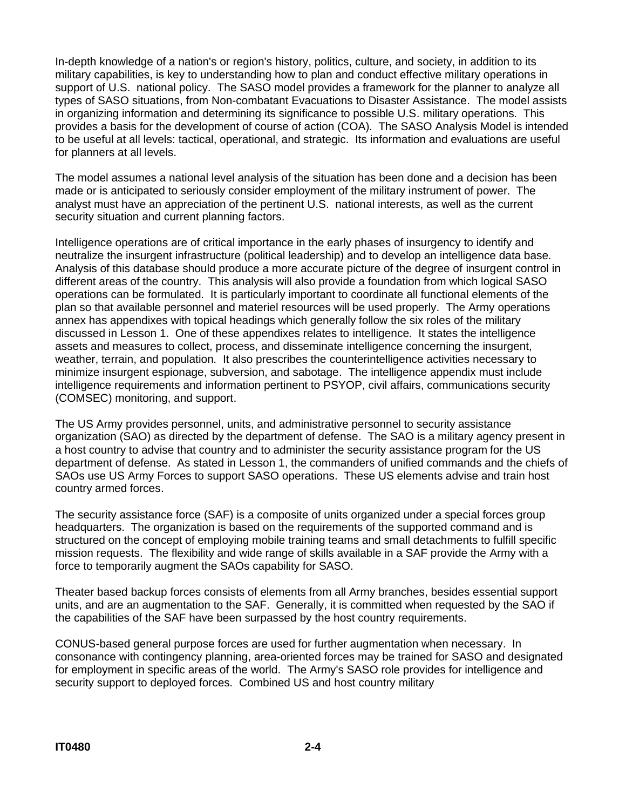In-depth knowledge of a nation's or region's history, politics, culture, and society, in addition to its military capabilities, is key to understanding how to plan and conduct effective military operations in support of U.S. national policy. The SASO model provides a framework for the planner to analyze all types of SASO situations, from Non-combatant Evacuations to Disaster Assistance. The model assists in organizing information and determining its significance to possible U.S. military operations. This provides a basis for the development of course of action (COA). The SASO Analysis Model is intended to be useful at all levels: tactical, operational, and strategic. Its information and evaluations are useful for planners at all levels.

The model assumes a national level analysis of the situation has been done and a decision has been made or is anticipated to seriously consider employment of the military instrument of power. The analyst must have an appreciation of the pertinent U.S. national interests, as well as the current security situation and current planning factors.

Intelligence operations are of critical importance in the early phases of insurgency to identify and neutralize the insurgent infrastructure (political leadership) and to develop an intelligence data base. Analysis of this database should produce a more accurate picture of the degree of insurgent control in different areas of the country. This analysis will also provide a foundation from which logical SASO operations can be formulated. It is particularly important to coordinate all functional elements of the plan so that available personnel and materiel resources will be used properly. The Army operations annex has appendixes with topical headings which generally follow the six roles of the military discussed in Lesson 1. One of these appendixes relates to intelligence. It states the intelligence assets and measures to collect, process, and disseminate intelligence concerning the insurgent, weather, terrain, and population. It also prescribes the counterintelligence activities necessary to minimize insurgent espionage, subversion, and sabotage. The intelligence appendix must include intelligence requirements and information pertinent to PSYOP, civil affairs, communications security (COMSEC) monitoring, and support.

The US Army provides personnel, units, and administrative personnel to security assistance organization (SAO) as directed by the department of defense. The SAO is a military agency present in a host country to advise that country and to administer the security assistance program for the US department of defense. As stated in Lesson 1, the commanders of unified commands and the chiefs of SAOs use US Army Forces to support SASO operations. These US elements advise and train host country armed forces.

The security assistance force (SAF) is a composite of units organized under a special forces group headquarters. The organization is based on the requirements of the supported command and is structured on the concept of employing mobile training teams and small detachments to fulfill specific mission requests. The flexibility and wide range of skills available in a SAF provide the Army with a force to temporarily augment the SAOs capability for SASO.

Theater based backup forces consists of elements from all Army branches, besides essential support units, and are an augmentation to the SAF. Generally, it is committed when requested by the SAO if the capabilities of the SAF have been surpassed by the host country requirements.

CONUS-based general purpose forces are used for further augmentation when necessary. In consonance with contingency planning, area-oriented forces may be trained for SASO and designated for employment in specific areas of the world. The Army's SASO role provides for intelligence and security support to deployed forces. Combined US and host country military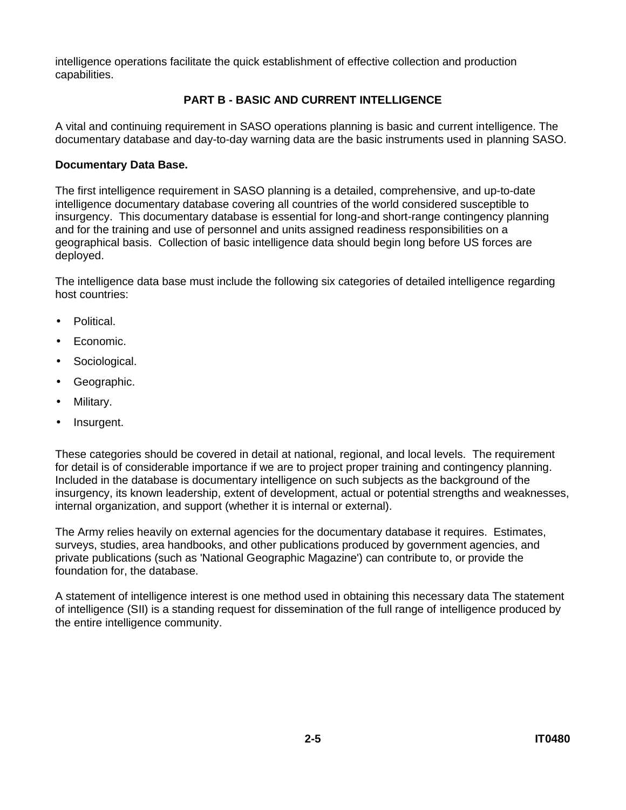intelligence operations facilitate the quick establishment of effective collection and production capabilities.

## **PART B - BASIC AND CURRENT INTELLIGENCE**

A vital and continuing requirement in SASO operations planning is basic and current intelligence. The documentary database and day-to-day warning data are the basic instruments used in planning SASO.

#### **Documentary Data Base.**

The first intelligence requirement in SASO planning is a detailed, comprehensive, and up-to-date intelligence documentary database covering all countries of the world considered susceptible to insurgency. This documentary database is essential for long-and short-range contingency planning and for the training and use of personnel and units assigned readiness responsibilities on a geographical basis. Collection of basic intelligence data should begin long before US forces are deployed.

The intelligence data base must include the following six categories of detailed intelligence regarding host countries:

- Political.
- Economic.
- Sociological.
- Geographic.
- Military.
- Insurgent.

These categories should be covered in detail at national, regional, and local levels. The requirement for detail is of considerable importance if we are to project proper training and contingency planning. Included in the database is documentary intelligence on such subjects as the background of the insurgency, its known leadership, extent of development, actual or potential strengths and weaknesses, internal organization, and support (whether it is internal or external).

The Army relies heavily on external agencies for the documentary database it requires. Estimates, surveys, studies, area handbooks, and other publications produced by government agencies, and private publications (such as 'National Geographic Magazine') can contribute to, or provide the foundation for, the database.

A statement of intelligence interest is one method used in obtaining this necessary data The statement of intelligence (SII) is a standing request for dissemination of the full range of intelligence produced by the entire intelligence community.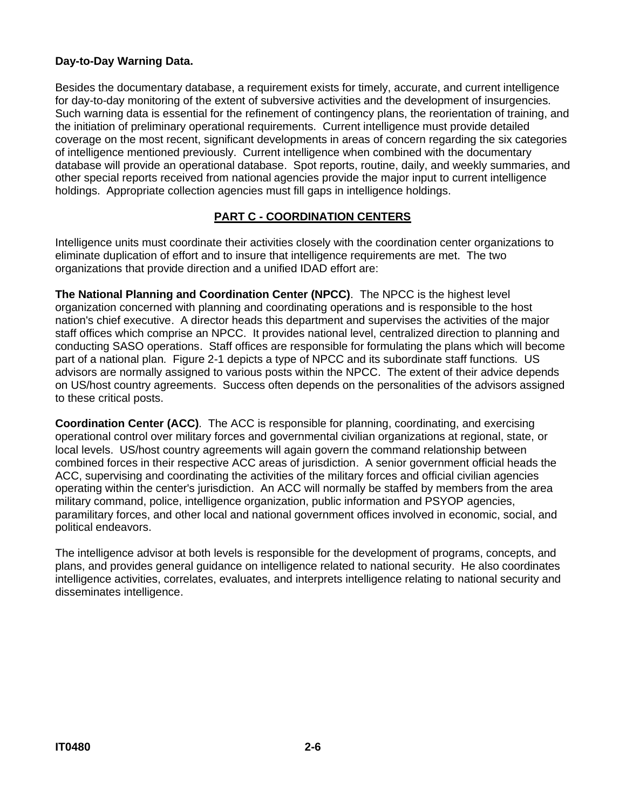## **Day-to-Day Warning Data.**

Besides the documentary database, a requirement exists for timely, accurate, and current intelligence for day-to-day monitoring of the extent of subversive activities and the development of insurgencies. Such warning data is essential for the refinement of contingency plans, the reorientation of training, and the initiation of preliminary operational requirements. Current intelligence must provide detailed coverage on the most recent, significant developments in areas of concern regarding the six categories of intelligence mentioned previously. Current intelligence when combined with the documentary database will provide an operational database. Spot reports, routine, daily, and weekly summaries, and other special reports received from national agencies provide the major input to current intelligence holdings. Appropriate collection agencies must fill gaps in intelligence holdings.

## **PART C - COORDINATION CENTERS**

Intelligence units must coordinate their activities closely with the coordination center organizations to eliminate duplication of effort and to insure that intelligence requirements are met. The two organizations that provide direction and a unified IDAD effort are:

**The National Planning and Coordination Center (NPCC)**. The NPCC is the highest level organization concerned with planning and coordinating operations and is responsible to the host nation's chief executive. A director heads this department and supervises the activities of the major staff offices which comprise an NPCC. It provides national level, centralized direction to planning and conducting SASO operations. Staff offices are responsible for formulating the plans which will become part of a national plan. Figure 2-1 depicts a type of NPCC and its subordinate staff functions. US advisors are normally assigned to various posts within the NPCC. The extent of their advice depends on US/host country agreements. Success often depends on the personalities of the advisors assigned to these critical posts.

**Coordination Center (ACC)**. The ACC is responsible for planning, coordinating, and exercising operational control over military forces and governmental civilian organizations at regional, state, or local levels. US/host country agreements will again govern the command relationship between combined forces in their respective ACC areas of jurisdiction. A senior government official heads the ACC, supervising and coordinating the activities of the military forces and official civilian agencies operating within the center's jurisdiction. An ACC will normally be staffed by members from the area military command, police, intelligence organization, public information and PSYOP agencies, paramilitary forces, and other local and national government offices involved in economic, social, and political endeavors.

The intelligence advisor at both levels is responsible for the development of programs, concepts, and plans, and provides general guidance on intelligence related to national security. He also coordinates intelligence activities, correlates, evaluates, and interprets intelligence relating to national security and disseminates intelligence.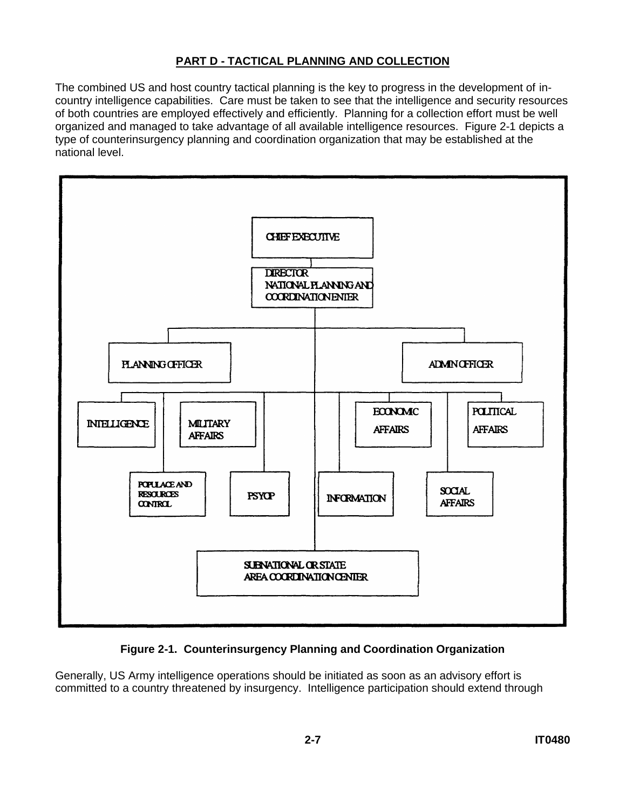## **PART D - TACTICAL PLANNING AND COLLECTION**

The combined US and host country tactical planning is the key to progress in the development of incountry intelligence capabilities. Care must be taken to see that the intelligence and security resources of both countries are employed effectively and efficiently. Planning for a collection effort must be well organized and managed to take advantage of all available intelligence resources. Figure 2-1 depicts a type of counterinsurgency planning and coordination organization that may be established at the national level.



## **Figure 2-1. Counterinsurgency Planning and Coordination Organization**

Generally, US Army intelligence operations should be initiated as soon as an advisory effort is committed to a country threatened by insurgency. Intelligence participation should extend through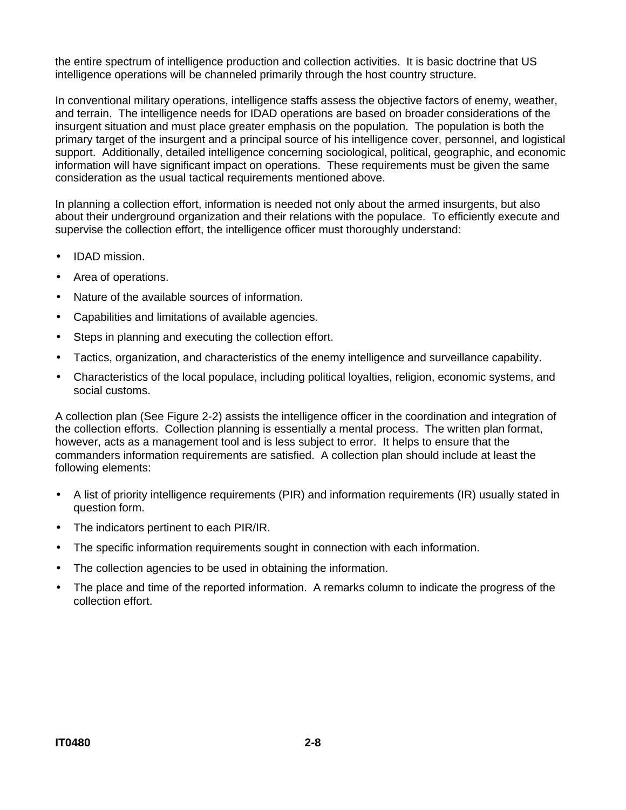the entire spectrum of intelligence production and collection activities. It is basic doctrine that US intelligence operations will be channeled primarily through the host country structure.

In conventional military operations, intelligence staffs assess the objective factors of enemy, weather, and terrain. The intelligence needs for IDAD operations are based on broader considerations of the insurgent situation and must place greater emphasis on the population. The population is both the primary target of the insurgent and a principal source of his intelligence cover, personnel, and logistical support. Additionally, detailed intelligence concerning sociological, political, geographic, and economic information will have significant impact on operations. These requirements must be given the same consideration as the usual tactical requirements mentioned above.

In planning a collection effort, information is needed not only about the armed insurgents, but also about their underground organization and their relations with the populace. To efficiently execute and supervise the collection effort, the intelligence officer must thoroughly understand:

- IDAD mission.
- Area of operations.
- Nature of the available sources of information.
- Capabilities and limitations of available agencies.
- Steps in planning and executing the collection effort.
- Tactics, organization, and characteristics of the enemy intelligence and surveillance capability.
- Characteristics of the local populace, including political loyalties, religion, economic systems, and social customs.

A collection plan (See Figure 2-2) assists the intelligence officer in the coordination and integration of the collection efforts. Collection planning is essentially a mental process. The written plan format, however, acts as a management tool and is less subject to error. It helps to ensure that the commanders information requirements are satisfied. A collection plan should include at least the following elements:

- A list of priority intelligence requirements (PIR) and information requirements (IR) usually stated in question form.
- The indicators pertinent to each PIR/IR.
- The specific information requirements sought in connection with each information.
- The collection agencies to be used in obtaining the information.
- The place and time of the reported information. A remarks column to indicate the progress of the collection effort.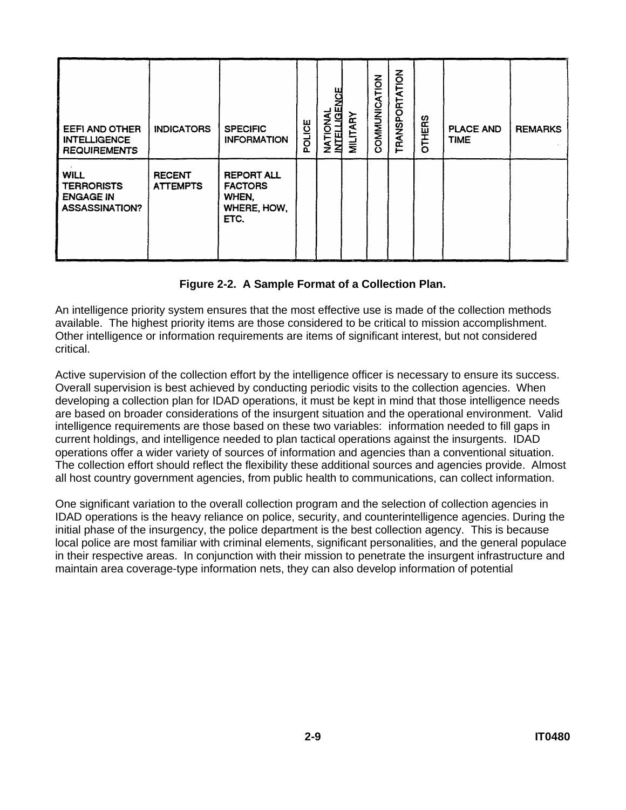| <b>EEFI AND OTHER</b><br><b>INTELLIGENCE</b><br><b>REQUIREMENTS</b>           | <b>INDICATORS</b>                | <b>SPECIFIC</b><br><b>INFORMATION</b>                               | POLICE | <b>NATIONAL<br/>INTELLIGENCE</b> | <b>MILITARY</b> | COMMUNICATION | TRANSPORTATION | <b>OTHERS</b> | <b>PLACE AND</b><br><b>TIME</b> | <b>REMARKS</b> |
|-------------------------------------------------------------------------------|----------------------------------|---------------------------------------------------------------------|--------|----------------------------------|-----------------|---------------|----------------|---------------|---------------------------------|----------------|
| <b>WILL</b><br><b>TERRORISTS</b><br><b>ENGAGE IN</b><br><b>ASSASSINATION?</b> | <b>RECENT</b><br><b>ATTEMPTS</b> | <b>REPORT ALL</b><br><b>FACTORS</b><br>WHEN,<br>WHERE, HOW,<br>ETC. |        |                                  |                 |               |                |               |                                 |                |

### **Figure 2-2. A Sample Format of a Collection Plan.**

An intelligence priority system ensures that the most effective use is made of the collection methods available. The highest priority items are those considered to be critical to mission accomplishment. Other intelligence or information requirements are items of significant interest, but not considered critical.

Active supervision of the collection effort by the intelligence officer is necessary to ensure its success. Overall supervision is best achieved by conducting periodic visits to the collection agencies. When developing a collection plan for IDAD operations, it must be kept in mind that those intelligence needs are based on broader considerations of the insurgent situation and the operational environment. Valid intelligence requirements are those based on these two variables: information needed to fill gaps in current holdings, and intelligence needed to plan tactical operations against the insurgents. IDAD operations offer a wider variety of sources of information and agencies than a conventional situation. The collection effort should reflect the flexibility these additional sources and agencies provide. Almost all host country government agencies, from public health to communications, can collect information.

One significant variation to the overall collection program and the selection of collection agencies in IDAD operations is the heavy reliance on police, security, and counterintelligence agencies. During the initial phase of the insurgency, the police department is the best collection agency. This is because local police are most familiar with criminal elements, significant personalities, and the general populace in their respective areas. In conjunction with their mission to penetrate the insurgent infrastructure and maintain area coverage-type information nets, they can also develop information of potential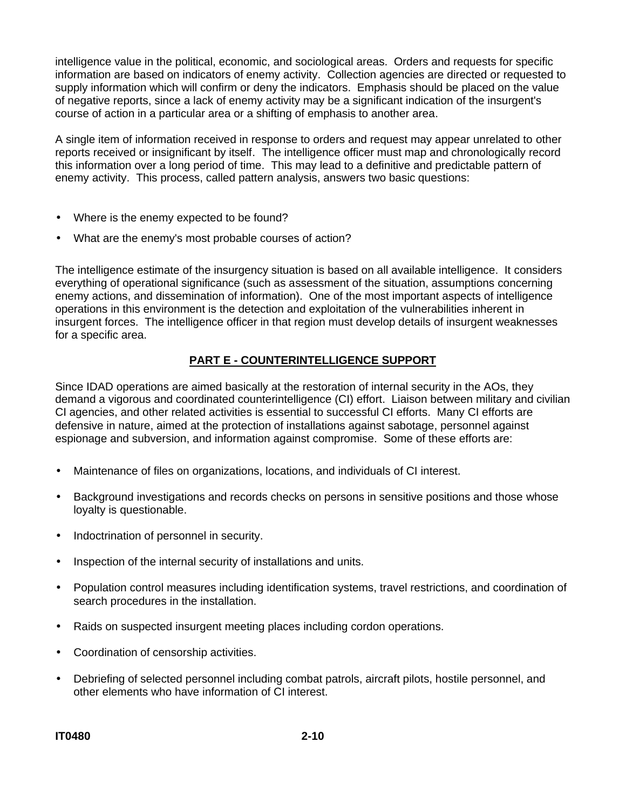intelligence value in the political, economic, and sociological areas. Orders and requests for specific information are based on indicators of enemy activity. Collection agencies are directed or requested to supply information which will confirm or deny the indicators. Emphasis should be placed on the value of negative reports, since a lack of enemy activity may be a significant indication of the insurgent's course of action in a particular area or a shifting of emphasis to another area.

A single item of information received in response to orders and request may appear unrelated to other reports received or insignificant by itself. The intelligence officer must map and chronologically record this information over a long period of time. This may lead to a definitive and predictable pattern of enemy activity. This process, called pattern analysis, answers two basic questions:

- Where is the enemy expected to be found?
- What are the enemy's most probable courses of action?

The intelligence estimate of the insurgency situation is based on all available intelligence. It considers everything of operational significance (such as assessment of the situation, assumptions concerning enemy actions, and dissemination of information). One of the most important aspects of intelligence operations in this environment is the detection and exploitation of the vulnerabilities inherent in insurgent forces. The intelligence officer in that region must develop details of insurgent weaknesses for a specific area.

### **PART E - COUNTERINTELLIGENCE SUPPORT**

Since IDAD operations are aimed basically at the restoration of internal security in the AOs, they demand a vigorous and coordinated counterintelligence (CI) effort. Liaison between military and civilian CI agencies, and other related activities is essential to successful CI efforts. Many CI efforts are defensive in nature, aimed at the protection of installations against sabotage, personnel against espionage and subversion, and information against compromise. Some of these efforts are:

- Maintenance of files on organizations, locations, and individuals of CI interest.
- Background investigations and records checks on persons in sensitive positions and those whose loyalty is questionable.
- Indoctrination of personnel in security.
- Inspection of the internal security of installations and units.
- Population control measures including identification systems, travel restrictions, and coordination of search procedures in the installation.
- Raids on suspected insurgent meeting places including cordon operations.
- Coordination of censorship activities.
- Debriefing of selected personnel including combat patrols, aircraft pilots, hostile personnel, and other elements who have information of CI interest.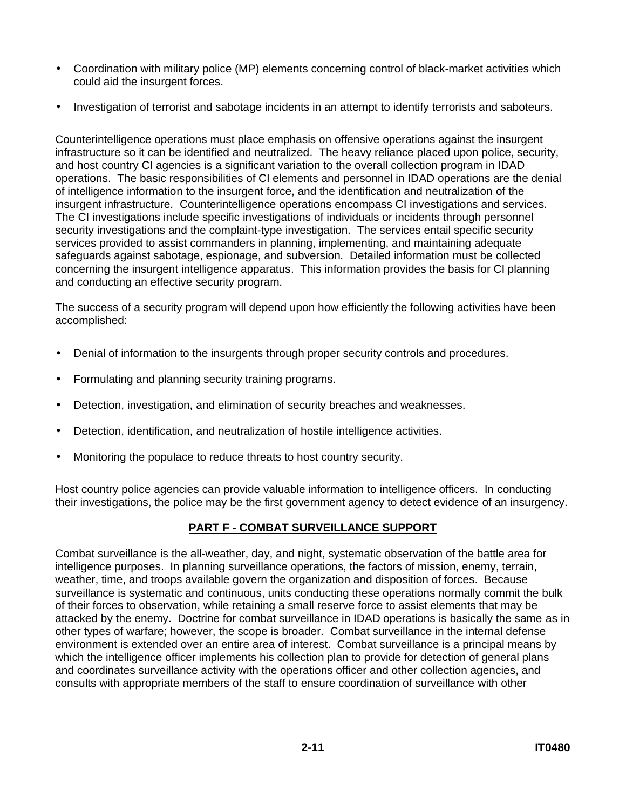- Coordination with military police (MP) elements concerning control of black-market activities which could aid the insurgent forces.
- Investigation of terrorist and sabotage incidents in an attempt to identify terrorists and saboteurs.

Counterintelligence operations must place emphasis on offensive operations against the insurgent infrastructure so it can be identified and neutralized. The heavy reliance placed upon police, security, and host country CI agencies is a significant variation to the overall collection program in IDAD operations. The basic responsibilities of CI elements and personnel in IDAD operations are the denial of intelligence information to the insurgent force, and the identification and neutralization of the insurgent infrastructure. Counterintelligence operations encompass CI investigations and services. The CI investigations include specific investigations of individuals or incidents through personnel security investigations and the complaint-type investigation. The services entail specific security services provided to assist commanders in planning, implementing, and maintaining adequate safeguards against sabotage, espionage, and subversion. Detailed information must be collected concerning the insurgent intelligence apparatus. This information provides the basis for CI planning and conducting an effective security program.

The success of a security program will depend upon how efficiently the following activities have been accomplished:

- Denial of information to the insurgents through proper security controls and procedures.
- Formulating and planning security training programs.
- Detection, investigation, and elimination of security breaches and weaknesses.
- Detection, identification, and neutralization of hostile intelligence activities.
- Monitoring the populace to reduce threats to host country security.

Host country police agencies can provide valuable information to intelligence officers. In conducting their investigations, the police may be the first government agency to detect evidence of an insurgency.

## **PART F - COMBAT SURVEILLANCE SUPPORT**

Combat surveillance is the all-weather, day, and night, systematic observation of the battle area for intelligence purposes. In planning surveillance operations, the factors of mission, enemy, terrain, weather, time, and troops available govern the organization and disposition of forces. Because surveillance is systematic and continuous, units conducting these operations normally commit the bulk of their forces to observation, while retaining a small reserve force to assist elements that may be attacked by the enemy. Doctrine for combat surveillance in IDAD operations is basically the same as in other types of warfare; however, the scope is broader. Combat surveillance in the internal defense environment is extended over an entire area of interest. Combat surveillance is a principal means by which the intelligence officer implements his collection plan to provide for detection of general plans and coordinates surveillance activity with the operations officer and other collection agencies, and consults with appropriate members of the staff to ensure coordination of surveillance with other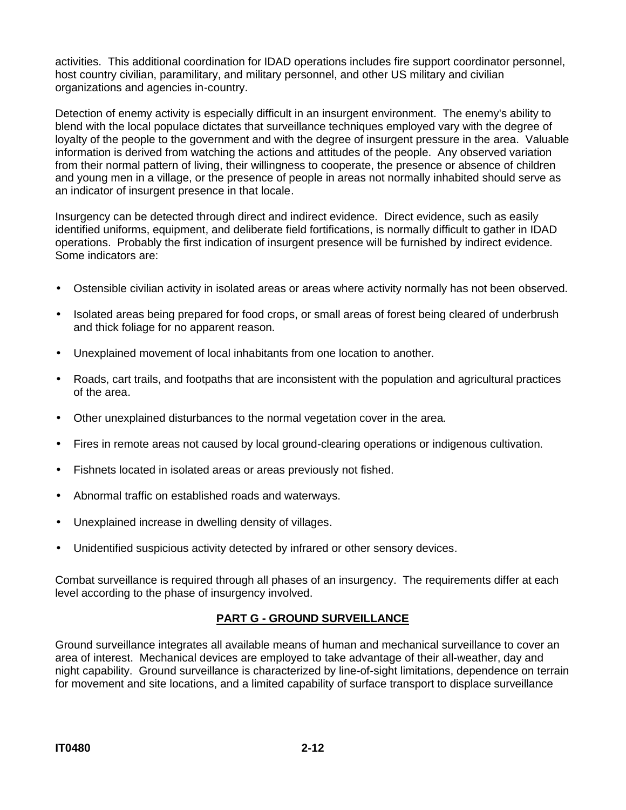activities. This additional coordination for IDAD operations includes fire support coordinator personnel, host country civilian, paramilitary, and military personnel, and other US military and civilian organizations and agencies in-country.

Detection of enemy activity is especially difficult in an insurgent environment. The enemy's ability to blend with the local populace dictates that surveillance techniques employed vary with the degree of loyalty of the people to the government and with the degree of insurgent pressure in the area. Valuable information is derived from watching the actions and attitudes of the people. Any observed variation from their normal pattern of living, their willingness to cooperate, the presence or absence of children and young men in a village, or the presence of people in areas not normally inhabited should serve as an indicator of insurgent presence in that locale.

Insurgency can be detected through direct and indirect evidence. Direct evidence, such as easily identified uniforms, equipment, and deliberate field fortifications, is normally difficult to gather in IDAD operations. Probably the first indication of insurgent presence will be furnished by indirect evidence. Some indicators are:

- Ostensible civilian activity in isolated areas or areas where activity normally has not been observed.
- Isolated areas being prepared for food crops, or small areas of forest being cleared of underbrush and thick foliage for no apparent reason.
- Unexplained movement of local inhabitants from one location to another.
- Roads, cart trails, and footpaths that are inconsistent with the population and agricultural practices of the area.
- Other unexplained disturbances to the normal vegetation cover in the area.
- Fires in remote areas not caused by local ground-clearing operations or indigenous cultivation.
- Fishnets located in isolated areas or areas previously not fished.
- Abnormal traffic on established roads and waterways.
- Unexplained increase in dwelling density of villages.
- Unidentified suspicious activity detected by infrared or other sensory devices.

Combat surveillance is required through all phases of an insurgency. The requirements differ at each level according to the phase of insurgency involved.

## **PART G - GROUND SURVEILLANCE**

Ground surveillance integrates all available means of human and mechanical surveillance to cover an area of interest. Mechanical devices are employed to take advantage of their all-weather, day and night capability. Ground surveillance is characterized by line-of-sight limitations, dependence on terrain for movement and site locations, and a limited capability of surface transport to displace surveillance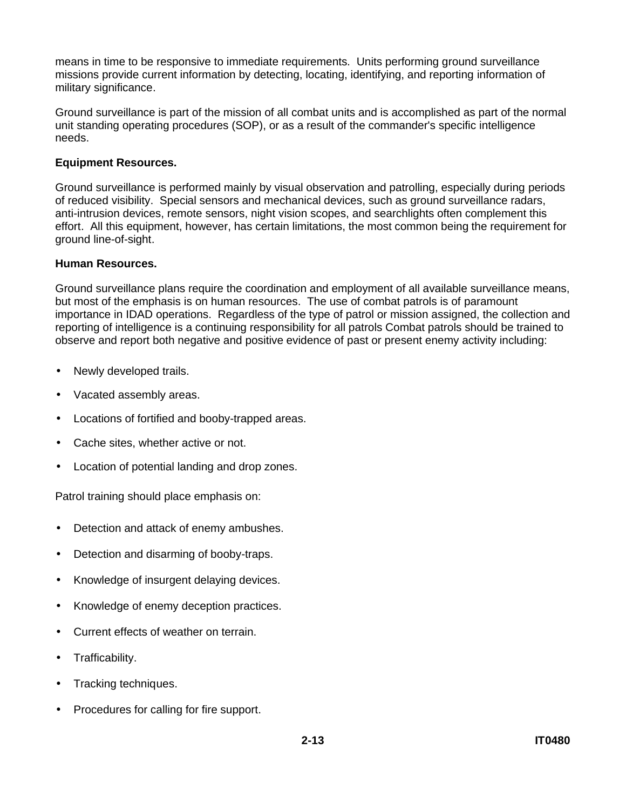means in time to be responsive to immediate requirements. Units performing ground surveillance missions provide current information by detecting, locating, identifying, and reporting information of military significance.

Ground surveillance is part of the mission of all combat units and is accomplished as part of the normal unit standing operating procedures (SOP), or as a result of the commander's specific intelligence needs.

#### **Equipment Resources.**

Ground surveillance is performed mainly by visual observation and patrolling, especially during periods of reduced visibility. Special sensors and mechanical devices, such as ground surveillance radars, anti-intrusion devices, remote sensors, night vision scopes, and searchlights often complement this effort. All this equipment, however, has certain limitations, the most common being the requirement for ground line-of-sight.

#### **Human Resources.**

Ground surveillance plans require the coordination and employment of all available surveillance means, but most of the emphasis is on human resources. The use of combat patrols is of paramount importance in IDAD operations. Regardless of the type of patrol or mission assigned, the collection and reporting of intelligence is a continuing responsibility for all patrols Combat patrols should be trained to observe and report both negative and positive evidence of past or present enemy activity including:

- Newly developed trails.
- Vacated assembly areas.
- Locations of fortified and booby-trapped areas.
- Cache sites, whether active or not.
- Location of potential landing and drop zones.

Patrol training should place emphasis on:

- Detection and attack of enemy ambushes.
- Detection and disarming of booby-traps.
- Knowledge of insurgent delaying devices.
- Knowledge of enemy deception practices.
- Current effects of weather on terrain.
- Trafficability.
- Tracking techniques.
- Procedures for calling for fire support.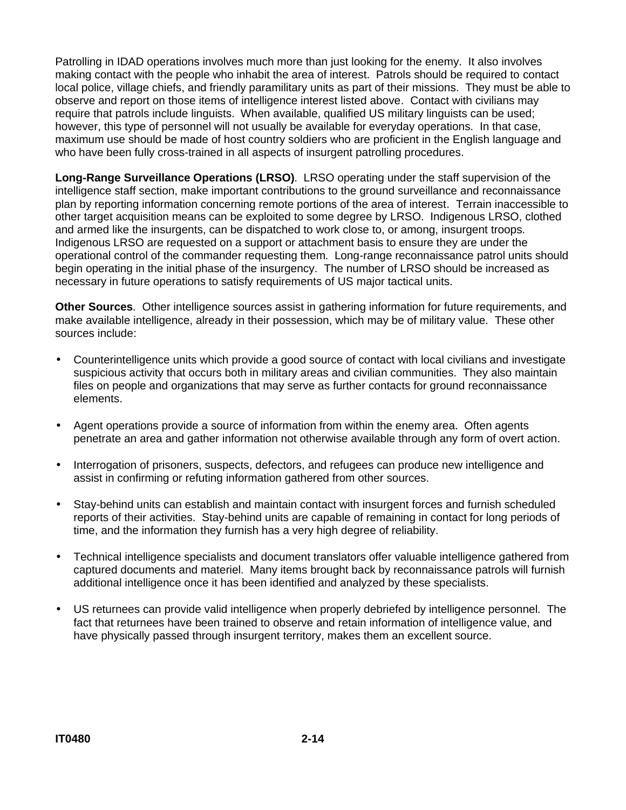Patrolling in IDAD operations involves much more than just looking for the enemy. It also involves making contact with the people who inhabit the area of interest. Patrols should be required to contact local police, village chiefs, and friendly paramilitary units as part of their missions. They must be able to observe and report on those items of intelligence interest listed above. Contact with civilians may require that patrols include linguists. When available, qualified US military linguists can be used; however, this type of personnel will not usually be available for everyday operations. In that case, maximum use should be made of host country soldiers who are proficient in the English language and who have been fully cross-trained in all aspects of insurgent patrolling procedures.

**Long-Range Surveillance Operations (LRSO)**. LRSO operating under the staff supervision of the intelligence staff section, make important contributions to the ground surveillance and reconnaissance plan by reporting information concerning remote portions of the area of interest. Terrain inaccessible to other target acquisition means can be exploited to some degree by LRSO. Indigenous LRSO, clothed and armed like the insurgents, can be dispatched to work close to, or among, insurgent troops. Indigenous LRSO are requested on a support or attachment basis to ensure they are under the operational control of the commander requesting them. Long-range reconnaissance patrol units should begin operating in the initial phase of the insurgency. The number of LRSO should be increased as necessary in future operations to satisfy requirements of US major tactical units.

**Other Sources**. Other intelligence sources assist in gathering information for future requirements, and make available intelligence, already in their possession, which may be of military value. These other sources include:

- Counterintelligence units which provide a good source of contact with local civilians and investigate suspicious activity that occurs both in military areas and civilian communities. They also maintain files on people and organizations that may serve as further contacts for ground reconnaissance elements.
- Agent operations provide a source of information from within the enemy area. Often agents penetrate an area and gather information not otherwise available through any form of overt action.
- Interrogation of prisoners, suspects, defectors, and refugees can produce new intelligence and assist in confirming or refuting information gathered from other sources.
- Stay-behind units can establish and maintain contact with insurgent forces and furnish scheduled reports of their activities. Stay-behind units are capable of remaining in contact for long periods of time, and the information they furnish has a very high degree of reliability.
- Technical intelligence specialists and document translators offer valuable intelligence gathered from captured documents and materiel. Many items brought back by reconnaissance patrols will furnish additional intelligence once it has been identified and analyzed by these specialists.
- US returnees can provide valid intelligence when properly debriefed by intelligence personnel. The fact that returnees have been trained to observe and retain information of intelligence value, and have physically passed through insurgent territory, makes them an excellent source.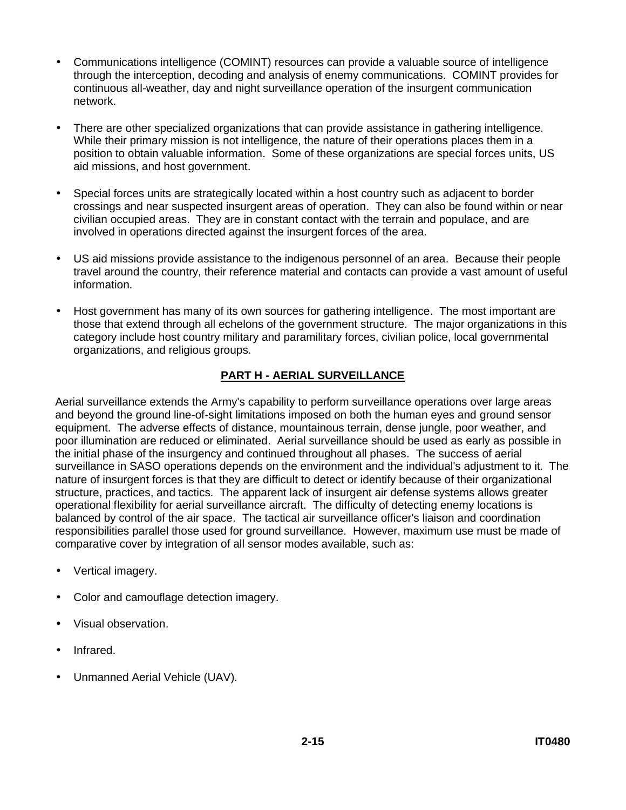- Communications intelligence (COMINT) resources can provide a valuable source of intelligence through the interception, decoding and analysis of enemy communications. COMINT provides for continuous all-weather, day and night surveillance operation of the insurgent communication network.
- There are other specialized organizations that can provide assistance in gathering intelligence. While their primary mission is not intelligence, the nature of their operations places them in a position to obtain valuable information. Some of these organizations are special forces units, US aid missions, and host government.
- Special forces units are strategically located within a host country such as adjacent to border crossings and near suspected insurgent areas of operation. They can also be found within or near civilian occupied areas. They are in constant contact with the terrain and populace, and are involved in operations directed against the insurgent forces of the area.
- US aid missions provide assistance to the indigenous personnel of an area. Because their people travel around the country, their reference material and contacts can provide a vast amount of useful information.
- Host government has many of its own sources for gathering intelligence. The most important are those that extend through all echelons of the government structure. The major organizations in this category include host country military and paramilitary forces, civilian police, local governmental organizations, and religious groups.

## **PART H - AERIAL SURVEILLANCE**

Aerial surveillance extends the Army's capability to perform surveillance operations over large areas and beyond the ground line-of-sight limitations imposed on both the human eyes and ground sensor equipment. The adverse effects of distance, mountainous terrain, dense jungle, poor weather, and poor illumination are reduced or eliminated. Aerial surveillance should be used as early as possible in the initial phase of the insurgency and continued throughout all phases. The success of aerial surveillance in SASO operations depends on the environment and the individual's adjustment to it. The nature of insurgent forces is that they are difficult to detect or identify because of their organizational structure, practices, and tactics. The apparent lack of insurgent air defense systems allows greater operational flexibility for aerial surveillance aircraft. The difficulty of detecting enemy locations is balanced by control of the air space. The tactical air surveillance officer's liaison and coordination responsibilities parallel those used for ground surveillance. However, maximum use must be made of comparative cover by integration of all sensor modes available, such as:

- Vertical imagery.
- Color and camouflage detection imagery.
- Visual observation.
- Infrared.
- Unmanned Aerial Vehicle (UAV).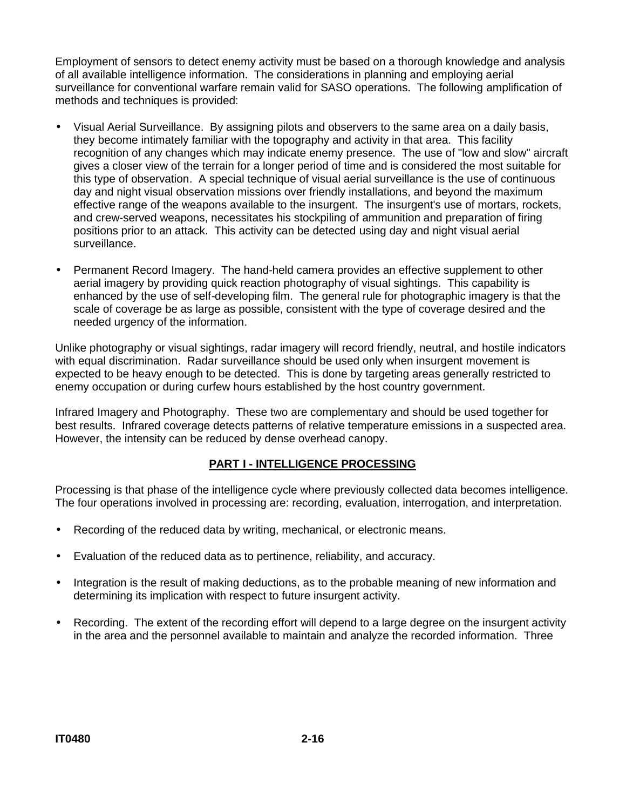Employment of sensors to detect enemy activity must be based on a thorough knowledge and analysis of all available intelligence information. The considerations in planning and employing aerial surveillance for conventional warfare remain valid for SASO operations. The following amplification of methods and techniques is provided:

- Visual Aerial Surveillance. By assigning pilots and observers to the same area on a daily basis, they become intimately familiar with the topography and activity in that area. This facility recognition of any changes which may indicate enemy presence. The use of "low and slow" aircraft gives a closer view of the terrain for a longer period of time and is considered the most suitable for this type of observation. A special technique of visual aerial surveillance is the use of continuous day and night visual observation missions over friendly installations, and beyond the maximum effective range of the weapons available to the insurgent. The insurgent's use of mortars, rockets, and crew-served weapons, necessitates his stockpiling of ammunition and preparation of firing positions prior to an attack. This activity can be detected using day and night visual aerial surveillance.
- Permanent Record Imagery. The hand-held camera provides an effective supplement to other aerial imagery by providing quick reaction photography of visual sightings. This capability is enhanced by the use of self-developing film. The general rule for photographic imagery is that the scale of coverage be as large as possible, consistent with the type of coverage desired and the needed urgency of the information.

Unlike photography or visual sightings, radar imagery will record friendly, neutral, and hostile indicators with equal discrimination. Radar surveillance should be used only when insurgent movement is expected to be heavy enough to be detected. This is done by targeting areas generally restricted to enemy occupation or during curfew hours established by the host country government.

Infrared Imagery and Photography. These two are complementary and should be used together for best results. Infrared coverage detects patterns of relative temperature emissions in a suspected area. However, the intensity can be reduced by dense overhead canopy.

#### **PART I - INTELLIGENCE PROCESSING**

Processing is that phase of the intelligence cycle where previously collected data becomes intelligence. The four operations involved in processing are: recording, evaluation, interrogation, and interpretation.

- Recording of the reduced data by writing, mechanical, or electronic means.
- Evaluation of the reduced data as to pertinence, reliability, and accuracy.
- Integration is the result of making deductions, as to the probable meaning of new information and determining its implication with respect to future insurgent activity.
- Recording. The extent of the recording effort will depend to a large degree on the insurgent activity in the area and the personnel available to maintain and analyze the recorded information. Three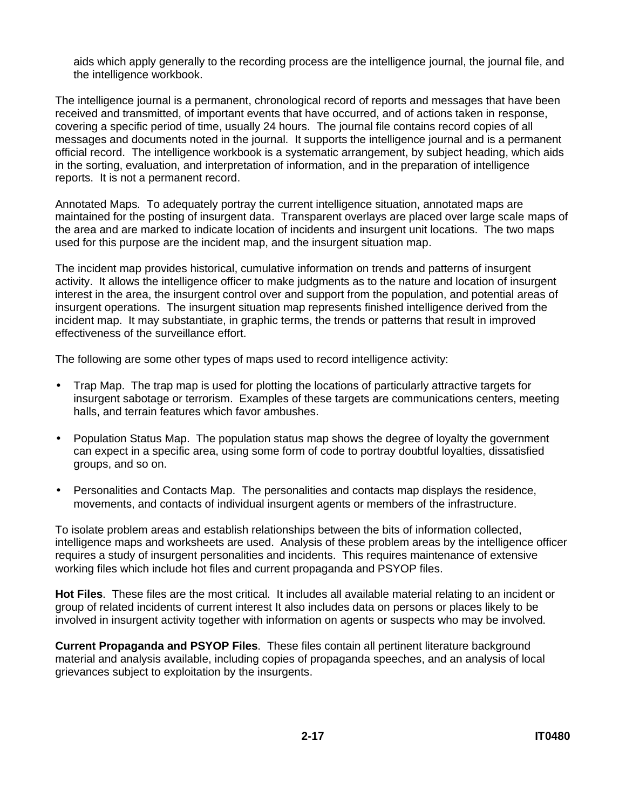aids which apply generally to the recording process are the intelligence journal, the journal file, and the intelligence workbook.

The intelligence journal is a permanent, chronological record of reports and messages that have been received and transmitted, of important events that have occurred, and of actions taken in response, covering a specific period of time, usually 24 hours. The journal file contains record copies of all messages and documents noted in the journal. It supports the intelligence journal and is a permanent official record. The intelligence workbook is a systematic arrangement, by subject heading, which aids in the sorting, evaluation, and interpretation of information, and in the preparation of intelligence reports. It is not a permanent record.

Annotated Maps. To adequately portray the current intelligence situation, annotated maps are maintained for the posting of insurgent data. Transparent overlays are placed over large scale maps of the area and are marked to indicate location of incidents and insurgent unit locations. The two maps used for this purpose are the incident map, and the insurgent situation map.

The incident map provides historical, cumulative information on trends and patterns of insurgent activity. It allows the intelligence officer to make judgments as to the nature and location of insurgent interest in the area, the insurgent control over and support from the population, and potential areas of insurgent operations. The insurgent situation map represents finished intelligence derived from the incident map. It may substantiate, in graphic terms, the trends or patterns that result in improved effectiveness of the surveillance effort.

The following are some other types of maps used to record intelligence activity:

- Trap Map. The trap map is used for plotting the locations of particularly attractive targets for insurgent sabotage or terrorism. Examples of these targets are communications centers, meeting halls, and terrain features which favor ambushes.
- Population Status Map. The population status map shows the degree of loyalty the government can expect in a specific area, using some form of code to portray doubtful loyalties, dissatisfied groups, and so on.
- Personalities and Contacts Map. The personalities and contacts map displays the residence, movements, and contacts of individual insurgent agents or members of the infrastructure.

To isolate problem areas and establish relationships between the bits of information collected, intelligence maps and worksheets are used. Analysis of these problem areas by the intelligence officer requires a study of insurgent personalities and incidents. This requires maintenance of extensive working files which include hot files and current propaganda and PSYOP files.

**Hot Files**. These files are the most critical. It includes all available material relating to an incident or group of related incidents of current interest It also includes data on persons or places likely to be involved in insurgent activity together with information on agents or suspects who may be involved.

**Current Propaganda and PSYOP Files**. These files contain all pertinent literature background material and analysis available, including copies of propaganda speeches, and an analysis of local grievances subject to exploitation by the insurgents.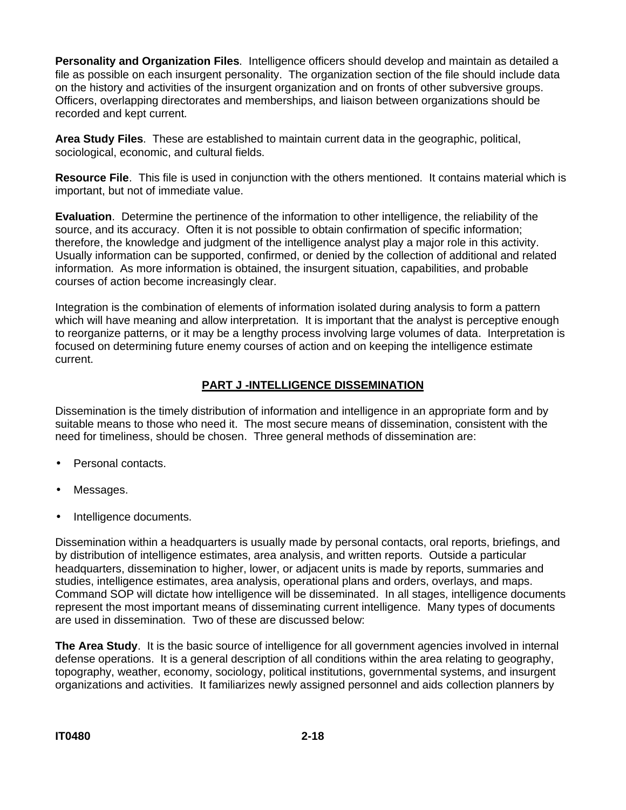**Personality and Organization Files**. Intelligence officers should develop and maintain as detailed a file as possible on each insurgent personality. The organization section of the file should include data on the history and activities of the insurgent organization and on fronts of other subversive groups. Officers, overlapping directorates and memberships, and liaison between organizations should be recorded and kept current.

**Area Study Files**. These are established to maintain current data in the geographic, political, sociological, economic, and cultural fields.

**Resource File**. This file is used in conjunction with the others mentioned. It contains material which is important, but not of immediate value.

**Evaluation**. Determine the pertinence of the information to other intelligence, the reliability of the source, and its accuracy. Often it is not possible to obtain confirmation of specific information; therefore, the knowledge and judgment of the intelligence analyst play a major role in this activity. Usually information can be supported, confirmed, or denied by the collection of additional and related information. As more information is obtained, the insurgent situation, capabilities, and probable courses of action become increasingly clear.

Integration is the combination of elements of information isolated during analysis to form a pattern which will have meaning and allow interpretation. It is important that the analyst is perceptive enough to reorganize patterns, or it may be a lengthy process involving large volumes of data. Interpretation is focused on determining future enemy courses of action and on keeping the intelligence estimate current.

### **PART J -INTELLIGENCE DISSEMINATION**

Dissemination is the timely distribution of information and intelligence in an appropriate form and by suitable means to those who need it. The most secure means of dissemination, consistent with the need for timeliness, should be chosen. Three general methods of dissemination are:

- Personal contacts.
- Messages.
- Intelligence documents.

Dissemination within a headquarters is usually made by personal contacts, oral reports, briefings, and by distribution of intelligence estimates, area analysis, and written reports. Outside a particular headquarters, dissemination to higher, lower, or adjacent units is made by reports, summaries and studies, intelligence estimates, area analysis, operational plans and orders, overlays, and maps. Command SOP will dictate how intelligence will be disseminated. In all stages, intelligence documents represent the most important means of disseminating current intelligence. Many types of documents are used in dissemination. Two of these are discussed below:

**The Area Study**. It is the basic source of intelligence for all government agencies involved in internal defense operations. It is a general description of all conditions within the area relating to geography, topography, weather, economy, sociology, political institutions, governmental systems, and insurgent organizations and activities. It familiarizes newly assigned personnel and aids collection planners by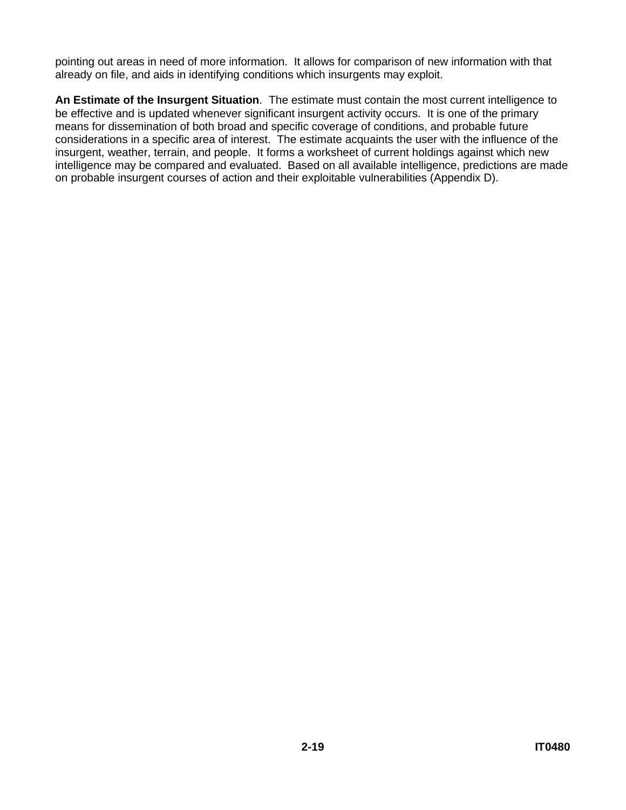pointing out areas in need of more information. It allows for comparison of new information with that already on file, and aids in identifying conditions which insurgents may exploit.

**An Estimate of the Insurgent Situation**. The estimate must contain the most current intelligence to be effective and is updated whenever significant insurgent activity occurs. It is one of the primary means for dissemination of both broad and specific coverage of conditions, and probable future considerations in a specific area of interest. The estimate acquaints the user with the influence of the insurgent, weather, terrain, and people. It forms a worksheet of current holdings against which new intelligence may be compared and evaluated. Based on all available intelligence, predictions are made on probable insurgent courses of action and their exploitable vulnerabilities (Appendix D).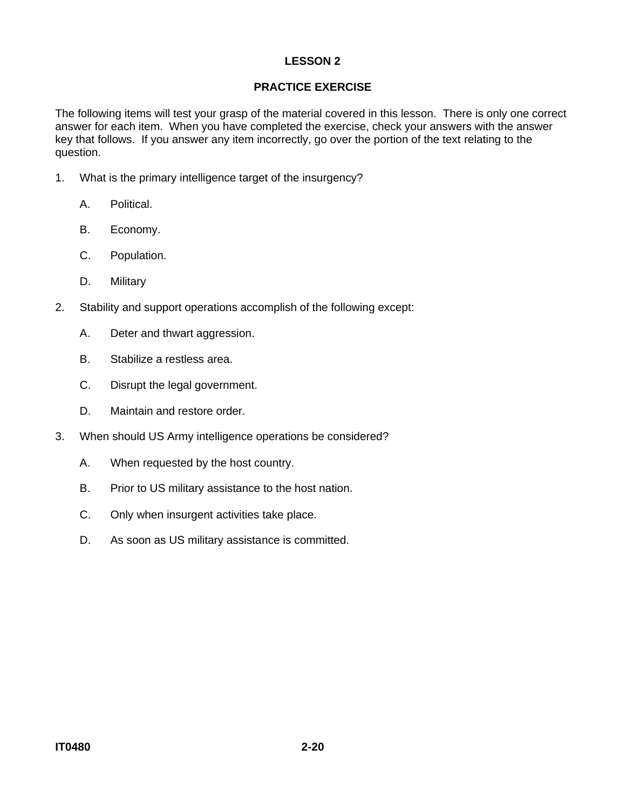## **PRACTICE EXERCISE**

The following items will test your grasp of the material covered in this lesson. There is only one correct answer for each item. When you have completed the exercise, check your answers with the answer key that follows. If you answer any item incorrectly, go over the portion of the text relating to the question.

- 1. What is the primary intelligence target of the insurgency?
	- A. Political.
	- B. Economy.
	- C. Population.
	- D. Military
- 2. Stability and support operations accomplish of the following except:
	- A. Deter and thwart aggression.
	- B. Stabilize a restless area.
	- C. Disrupt the legal government.
	- D. Maintain and restore order.
- 3. When should US Army intelligence operations be considered?
	- A. When requested by the host country.
	- B. Prior to US military assistance to the host nation.
	- C. Only when insurgent activities take place.
	- D. As soon as US military assistance is committed.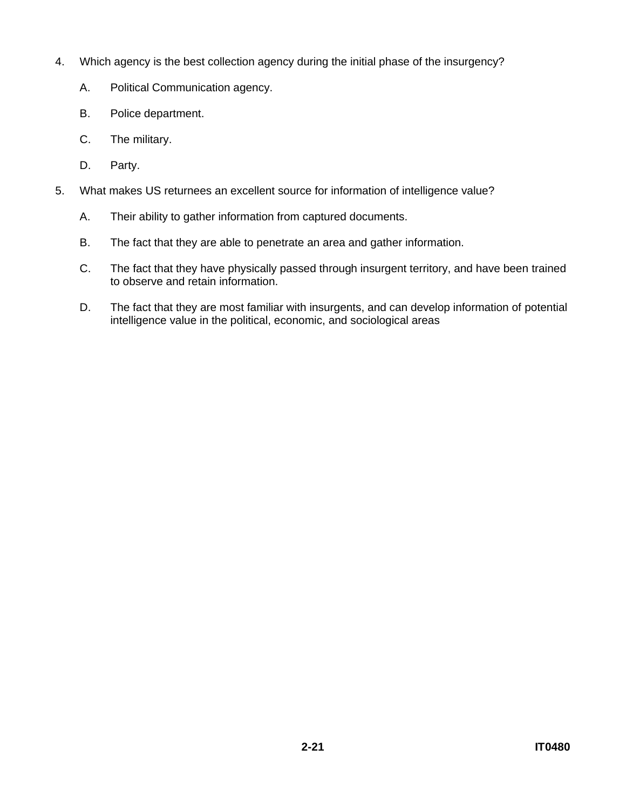- 4. Which agency is the best collection agency during the initial phase of the insurgency?
	- A. Political Communication agency.
	- B. Police department.
	- C. The military.
	- D. Party.
- 5. What makes US returnees an excellent source for information of intelligence value?
	- A. Their ability to gather information from captured documents.
	- B. The fact that they are able to penetrate an area and gather information.
	- C. The fact that they have physically passed through insurgent territory, and have been trained to observe and retain information.
	- D. The fact that they are most familiar with insurgents, and can develop information of potential intelligence value in the political, economic, and sociological areas